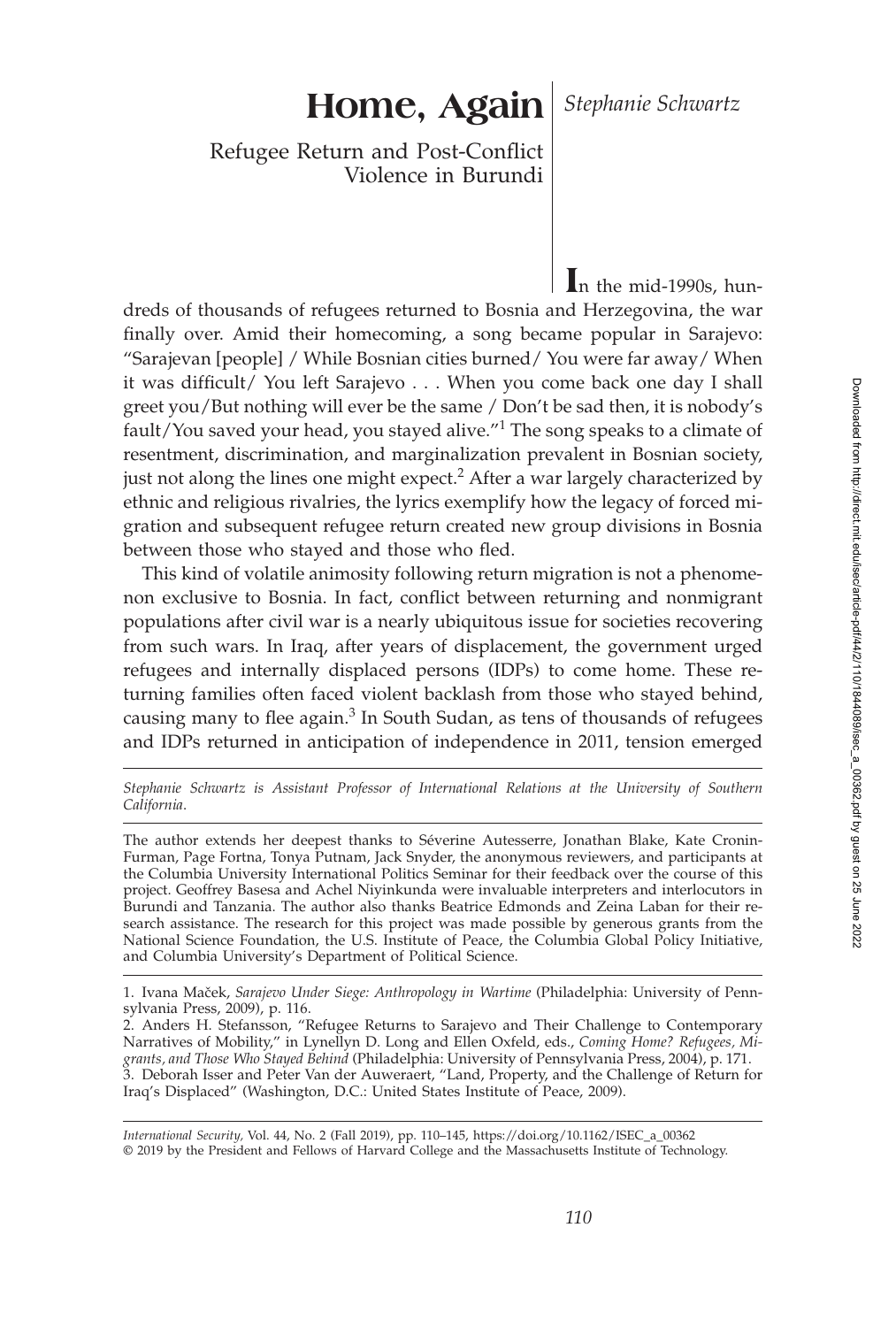# **Home, Again** *Stephanie Schwartz*

Refugee Return and Post-Conflict Violence in Burundi

**I**n the mid-1990s, hundreds of thousands of refugees returned to Bosnia and Herzegovina, the war finally over. Amid their homecoming, a song became popular in Sarajevo: "Sarajevan [people] / While Bosnian cities burned/ You were far away/ When it was difficult/ You left Sarajevo . . . When you come back one day I shall greet you/But nothing will ever be the same / Don't be sad then, it is nobody's fault/You saved your head, you stayed alive."<sup>1</sup> The song speaks to a climate of resentment, discrimination, and marginalization prevalent in Bosnian society, just not along the lines one might expect.<sup>2</sup> After a war largely characterized by ethnic and religious rivalries, the lyrics exemplify how the legacy of forced migration and subsequent refugee return created new group divisions in Bosnia between those who stayed and those who fled.

This kind of volatile animosity following return migration is not a phenomenon exclusive to Bosnia. In fact, conflict between returning and nonmigrant populations after civil war is a nearly ubiquitous issue for societies recovering from such wars. In Iraq, after years of displacement, the government urged refugees and internally displaced persons (IDPs) to come home. These returning families often faced violent backlash from those who stayed behind, causing many to flee again. $3$  In South Sudan, as tens of thousands of refugees and IDPs returned in anticipation of independence in 2011, tension emerged

*Stephanie Schwartz is Assistant Professor of International Relations at the University of Southern California*.

The author extends her deepest thanks to Séverine Autesserre, Jonathan Blake, Kate Cronin-Furman, Page Fortna, Tonya Putnam, Jack Snyder, the anonymous reviewers, and participants at the Columbia University International Politics Seminar for their feedback over the course of this project. Geoffrey Basesa and Achel Niyinkunda were invaluable interpreters and interlocutors in Burundi and Tanzania. The author also thanks Beatrice Edmonds and Zeina Laban for their research assistance. The research for this project was made possible by generous grants from the National Science Foundation, the U.S. Institute of Peace, the Columbia Global Policy Initiative, and Columbia University's Department of Political Science.

<sup>1.</sup> Ivana Macek, *Sarajevo Under Siege: Anthropology in Wartime* (Philadelphia: University of Pennsylvania Press, 2009), p. 116.

<sup>2.</sup> Anders H. Stefansson, "Refugee Returns to Sarajevo and Their Challenge to Contemporary Narratives of Mobility," in Lynellyn D. Long and Ellen Oxfeld, eds., *Coming Home? Refugees, Migrants, and Those Who Stayed Behind* (Philadelphia: University of Pennsylvania Press, 2004), p. 171. 3. Deborah Isser and Peter Van der Auweraert, "Land, Property, and the Challenge of Return for Iraq's Displaced" (Washington, D.C.: United States Institute of Peace, 2009).

*International Security,* Vol. 44, No. 2 (Fall 2019), pp. 110–145, https://doi.org/10.1162/ISEC\_a\_00362 © 2019 by the President and Fellows of Harvard College and the Massachusetts Institute of Technology.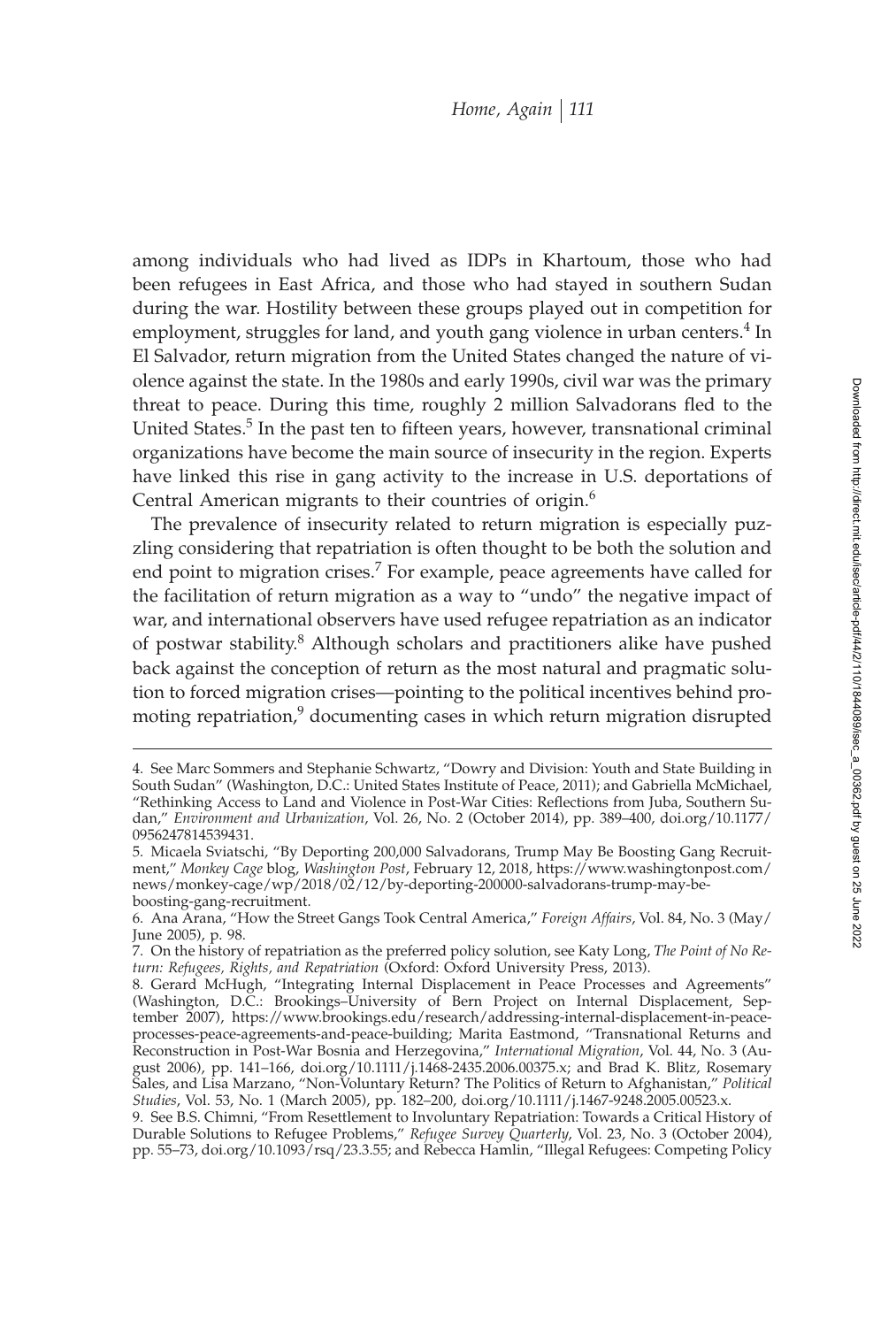among individuals who had lived as IDPs in Khartoum, those who had been refugees in East Africa, and those who had stayed in southern Sudan during the war. Hostility between these groups played out in competition for employment, struggles for land, and youth gang violence in urban centers.<sup>4</sup> In El Salvador, return migration from the United States changed the nature of violence against the state. In the 1980s and early 1990s, civil war was the primary threat to peace. During this time, roughly 2 million Salvadorans fled to the United States. $5$  In the past ten to fifteen years, however, transnational criminal organizations have become the main source of insecurity in the region. Experts have linked this rise in gang activity to the increase in U.S. deportations of Central American migrants to their countries of origin.<sup>6</sup>

The prevalence of insecurity related to return migration is especially puzzling considering that repatriation is often thought to be both the solution and end point to migration crises.<sup>7</sup> For example, peace agreements have called for the facilitation of return migration as a way to "undo" the negative impact of war, and international observers have used refugee repatriation as an indicator of postwar stability.<sup>8</sup> Although scholars and practitioners alike have pushed back against the conception of return as the most natural and pragmatic solution to forced migration crises—pointing to the political incentives behind promoting repatriation, $9$  documenting cases in which return migration disrupted

<sup>4.</sup> See Marc Sommers and Stephanie Schwartz, "Dowry and Division: Youth and State Building in South Sudan" (Washington, D.C.: United States Institute of Peace, 2011); and Gabriella McMichael, "Rethinking Access to Land and Violence in Post-War Cities: Reflections from Juba, Southern Sudan," *Environment and Urbanization*, Vol. 26, No. 2 (October 2014), pp. 389–400, doi.org/10.1177/ 0956247814539431.

<sup>5.</sup> Micaela Sviatschi, "By Deporting 200,000 Salvadorans, Trump May Be Boosting Gang Recruitment," *Monkey Cage* blog, *Washington Post*, February 12, 2018, https://www.washingtonpost.com/ news/monkey-cage/wp/2018/02/12/by-deporting-200000-salvadorans-trump-may-beboosting-gang-recruitment.

<sup>6.</sup> Ana Arana, "How the Street Gangs Took Central America," *Foreign Affairs*, Vol. 84, No. 3 (May/ June 2005), p. 98.

<sup>7.</sup> On the history of repatriation as the preferred policy solution, see Katy Long, *The Point of No Return: Refugees, Rights, and Repatriation* (Oxford: Oxford University Press, 2013).

<sup>8.</sup> Gerard McHugh, "Integrating Internal Displacement in Peace Processes and Agreements" (Washington, D.C.: Brookings–University of Bern Project on Internal Displacement, September 2007), https://www.brookings.edu/research/addressing-internal-displacement-in-peaceprocesses-peace-agreements-and-peace-building; Marita Eastmond, "Transnational Returns and Reconstruction in Post-War Bosnia and Herzegovina," *International Migration*, Vol. 44, No. 3 (August 2006), pp. 141–166, doi.org/10.1111/j.1468-2435.2006.00375.x; and Brad K. Blitz, Rosemary Sales, and Lisa Marzano, "Non-Voluntary Return? The Politics of Return to Afghanistan," *Political Studies*, Vol. 53, No. 1 (March 2005), pp. 182–200, doi.org/10.1111/j.1467-9248.2005.00523.x.

<sup>9.</sup> See B.S. Chimni, "From Resettlement to Involuntary Repatriation: Towards a Critical History of Durable Solutions to Refugee Problems," *Refugee Survey Quarterly*, Vol. 23, No. 3 (October 2004), pp. 55–73, doi.org/10.1093/rsq/23.3.55; and Rebecca Hamlin, "Illegal Refugees: Competing Policy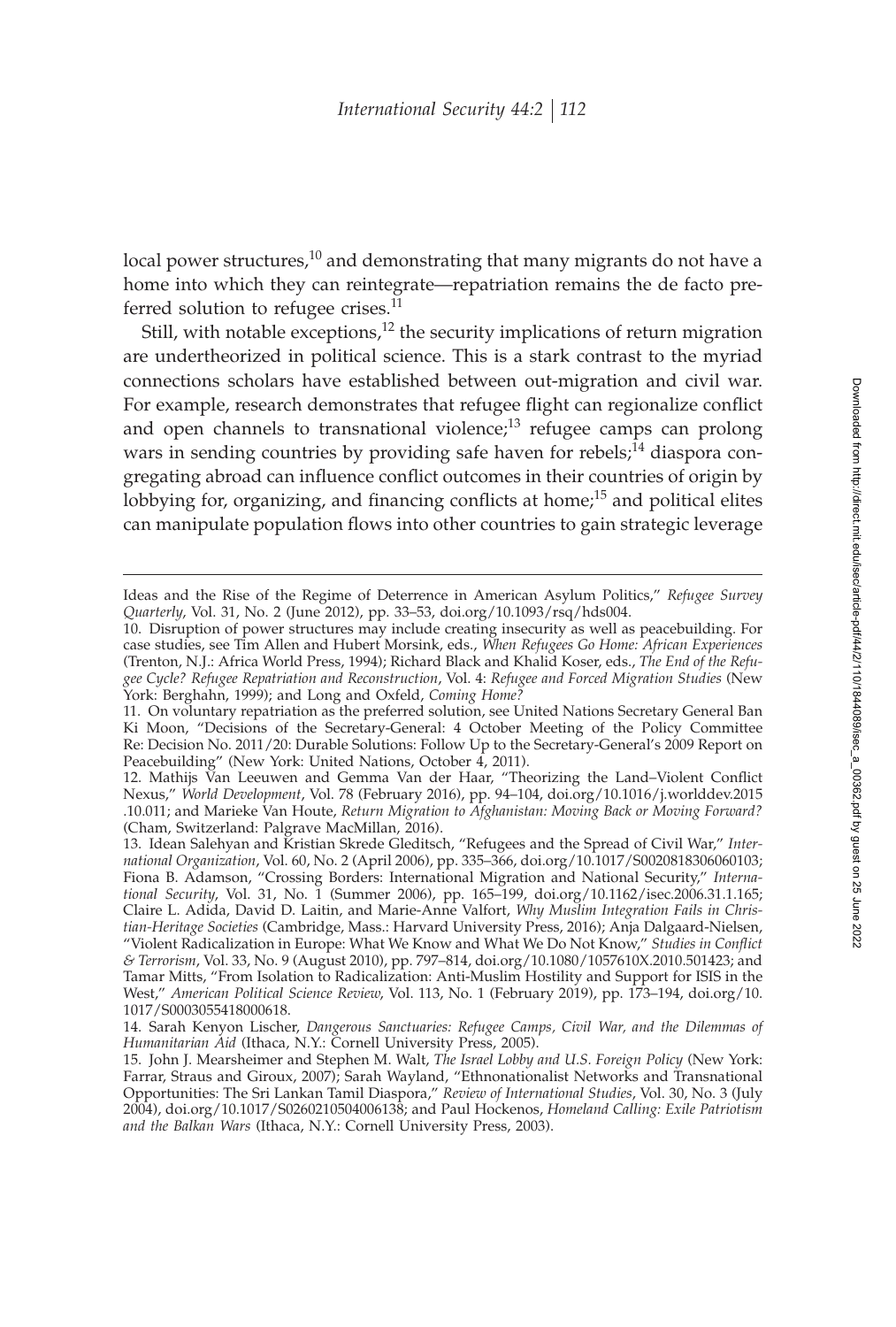local power structures, $^{10}$  and demonstrating that many migrants do not have a home into which they can reintegrate—repatriation remains the de facto preferred solution to refugee crises. $^{11}$ 

Still, with notable exceptions,<sup>12</sup> the security implications of return migration are undertheorized in political science. This is a stark contrast to the myriad connections scholars have established between out-migration and civil war. For example, research demonstrates that refugee flight can regionalize conflict and open channels to transnational violence;<sup>13</sup> refugee camps can prolong wars in sending countries by providing safe haven for rebels;<sup>14</sup> diaspora congregating abroad can influence conflict outcomes in their countries of origin by lobbying for, organizing, and financing conflicts at home;<sup>15</sup> and political elites can manipulate population flows into other countries to gain strategic leverage

Ideas and the Rise of the Regime of Deterrence in American Asylum Politics," *Refugee Survey Quarterly*, Vol. 31, No. 2 (June 2012), pp. 33–53, doi.org/10.1093/rsq/hds004.

<sup>10.</sup> Disruption of power structures may include creating insecurity as well as peacebuilding. For case studies, see Tim Allen and Hubert Morsink, eds., *When Refugees Go Home: African Experiences* (Trenton, N.J.: Africa World Press, 1994); Richard Black and Khalid Koser, eds., *The End of the Refugee Cycle? Refugee Repatriation and Reconstruction*, Vol. 4: *Refugee and Forced Migration Studies* (New York: Berghahn, 1999); and Long and Oxfeld, *Coming Home?*

<sup>11.</sup> On voluntary repatriation as the preferred solution, see United Nations Secretary General Ban Ki Moon, "Decisions of the Secretary-General: 4 October Meeting of the Policy Committee Re: Decision No. 2011/20: Durable Solutions: Follow Up to the Secretary-General's 2009 Report on Peacebuilding" (New York: United Nations, October 4, 2011).

<sup>12.</sup> Mathijs Van Leeuwen and Gemma Van der Haar, "Theorizing the Land–Violent Conflict Nexus," *World Development*, Vol. 78 (February 2016), pp. 94–104, doi.org/10.1016/j.worlddev.2015 .10.011; and Marieke Van Houte, *Return Migration to Afghanistan: Moving Back or Moving Forward?* (Cham, Switzerland: Palgrave MacMillan, 2016).

<sup>13.</sup> Idean Salehyan and Kristian Skrede Gleditsch, "Refugees and the Spread of Civil War," *International Organization*, Vol. 60, No. 2 (April 2006), pp. 335–366, doi.org/10.1017/S0020818306060103; Fiona B. Adamson, "Crossing Borders: International Migration and National Security," *International Security*, Vol. 31, No. 1 (Summer 2006), pp. 165–199, doi.org/10.1162/isec.2006.31.1.165; Claire L. Adida, David D. Laitin, and Marie-Anne Valfort, *Why Muslim Integration Fails in Christian-Heritage Societies* (Cambridge, Mass.: Harvard University Press, 2016); Anja Dalgaard-Nielsen, "Violent Radicalization in Europe: What We Know and What We Do Not Know," Studies in Conflict *& Terrorism*, Vol. 33, No. 9 (August 2010), pp. 797–814, doi.org/10.1080/1057610X.2010.501423; and Tamar Mitts, "From Isolation to Radicalization: Anti-Muslim Hostility and Support for ISIS in the West," *American Political Science Review*, Vol. 113, No. 1 (February 2019), pp. 173–194, doi.org/10. 1017/S0003055418000618.

<sup>14.</sup> Sarah Kenyon Lischer, *Dangerous Sanctuaries: Refugee Camps, Civil War, and the Dilemmas of Humanitarian Aid* (Ithaca, N.Y.: Cornell University Press, 2005).

<sup>15.</sup> John J. Mearsheimer and Stephen M. Walt, *The Israel Lobby and U.S. Foreign Policy* (New York: Farrar, Straus and Giroux, 2007); Sarah Wayland, "Ethnonationalist Networks and Transnational Opportunities: The Sri Lankan Tamil Diaspora," *Review of International Studies*, Vol. 30, No. 3 (July 2004), doi.org/10.1017/S0260210504006138; and Paul Hockenos, *Homeland Calling: Exile Patriotism and the Balkan Wars* (Ithaca, N.Y.: Cornell University Press, 2003).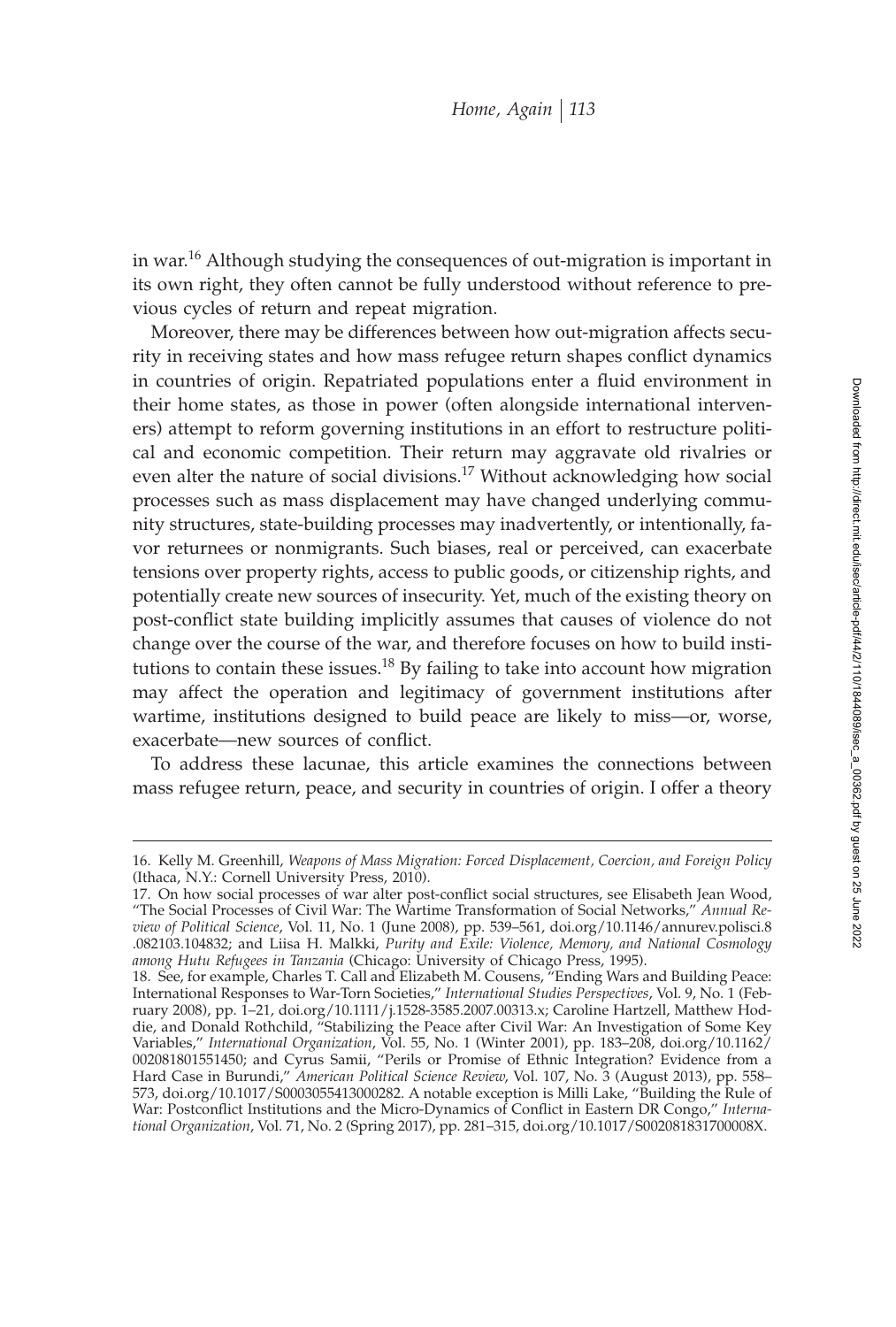in war.16 Although studying the consequences of out-migration is important in its own right, they often cannot be fully understood without reference to previous cycles of return and repeat migration.

Moreover, there may be differences between how out-migration affects security in receiving states and how mass refugee return shapes conflict dynamics in countries of origin. Repatriated populations enter a fluid environment in their home states, as those in power (often alongside international interveners) attempt to reform governing institutions in an effort to restructure political and economic competition. Their return may aggravate old rivalries or even alter the nature of social divisions.<sup>17</sup> Without acknowledging how social processes such as mass displacement may have changed underlying community structures, state-building processes may inadvertently, or intentionally, favor returnees or nonmigrants. Such biases, real or perceived, can exacerbate tensions over property rights, access to public goods, or citizenship rights, and potentially create new sources of insecurity. Yet, much of the existing theory on post-conflict state building implicitly assumes that causes of violence do not change over the course of the war, and therefore focuses on how to build institutions to contain these issues. $18$  By failing to take into account how migration may affect the operation and legitimacy of government institutions after wartime, institutions designed to build peace are likely to miss—or, worse, exacerbate—new sources of conflict.

To address these lacunae, this article examines the connections between mass refugee return, peace, and security in countries of origin. I offer a theory

<sup>16.</sup> Kelly M. Greenhill, *Weapons of Mass Migration: Forced Displacement, Coercion, and Foreign Policy* (Ithaca, N.Y.: Cornell University Press, 2010).

<sup>17.</sup> On how social processes of war alter post-conflict social structures, see Elisabeth Jean Wood, "The Social Processes of Civil War: The Wartime Transformation of Social Networks," *Annual Review of Political Science*, Vol. 11, No. 1 (June 2008), pp. 539–561, doi.org/10.1146/annurev.polisci.8 .082103.104832; and Liisa H. Malkki, *Purity and Exile: Violence, Memory, and National Cosmology among Hutu Refugees in Tanzania* (Chicago: University of Chicago Press, 1995).

<sup>18.</sup> See, for example, Charles T. Call and Elizabeth M. Cousens, "Ending Wars and Building Peace: International Responses to War-Torn Societies," *International Studies Perspectives*, Vol. 9, No. 1 (February 2008), pp. 1–21, doi.org/10.1111/j.1528-3585.2007.00313.x; Caroline Hartzell, Matthew Hoddie, and Donald Rothchild, "Stabilizing the Peace after Civil War: An Investigation of Some Key Variables," *International Organization*, Vol. 55, No. 1 (Winter 2001), pp. 183–208, doi.org/10.1162/ 002081801551450; and Cyrus Samii, "Perils or Promise of Ethnic Integration? Evidence from a Hard Case in Burundi," *American Political Science Review*, Vol. 107, No. 3 (August 2013), pp. 558– 573, doi.org/10.1017/S0003055413000282. A notable exception is Milli Lake, "Building the Rule of War: Postconflict Institutions and the Micro-Dynamics of Conflict in Eastern DR Congo," *International Organization*, Vol. 71, No. 2 (Spring 2017), pp. 281–315, doi.org/10.1017/S002081831700008X.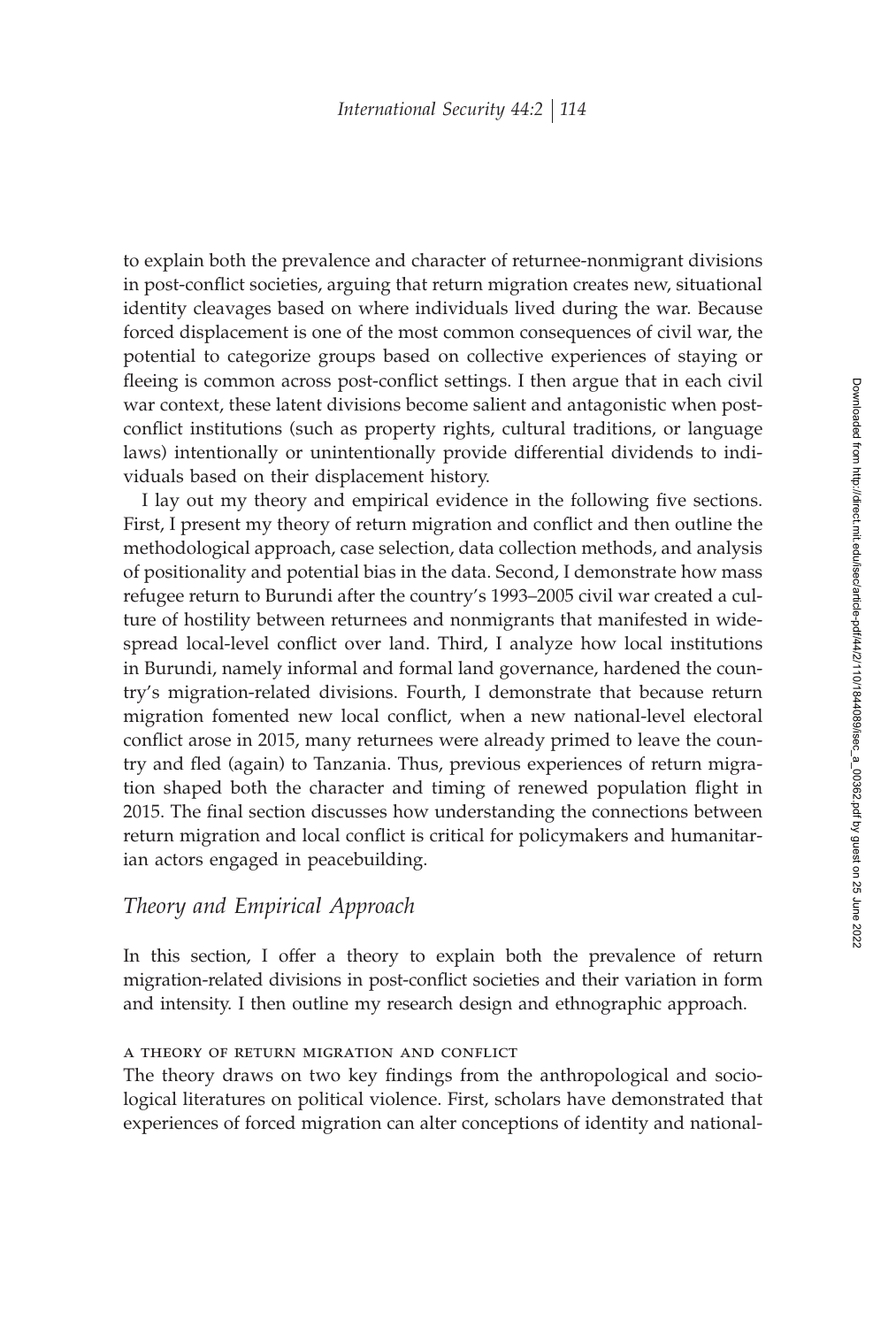to explain both the prevalence and character of returnee-nonmigrant divisions in post-conflict societies, arguing that return migration creates new, situational identity cleavages based on where individuals lived during the war. Because forced displacement is one of the most common consequences of civil war, the potential to categorize groups based on collective experiences of staying or fleeing is common across post-conflict settings. I then argue that in each civil war context, these latent divisions become salient and antagonistic when postconflict institutions (such as property rights, cultural traditions, or language laws) intentionally or unintentionally provide differential dividends to individuals based on their displacement history.

I lay out my theory and empirical evidence in the following five sections. First, I present my theory of return migration and conflict and then outline the methodological approach, case selection, data collection methods, and analysis of positionality and potential bias in the data. Second, I demonstrate how mass refugee return to Burundi after the country's 1993–2005 civil war created a culture of hostility between returnees and nonmigrants that manifested in widespread local-level conflict over land. Third, I analyze how local institutions in Burundi, namely informal and formal land governance, hardened the country's migration-related divisions. Fourth, I demonstrate that because return migration fomented new local conflict, when a new national-level electoral conflict arose in 2015, many returnees were already primed to leave the country and fled (again) to Tanzania. Thus, previous experiences of return migration shaped both the character and timing of renewed population flight in 2015. The final section discusses how understanding the connections between return migration and local conflict is critical for policymakers and humanitarian actors engaged in peacebuilding.

### *Theory and Empirical Approach*

In this section, I offer a theory to explain both the prevalence of return migration-related divisions in post-conflict societies and their variation in form and intensity. I then outline my research design and ethnographic approach.

### A THEORY OF RETURN MIGRATION AND CONFLICT

The theory draws on two key findings from the anthropological and sociological literatures on political violence. First, scholars have demonstrated that experiences of forced migration can alter conceptions of identity and national-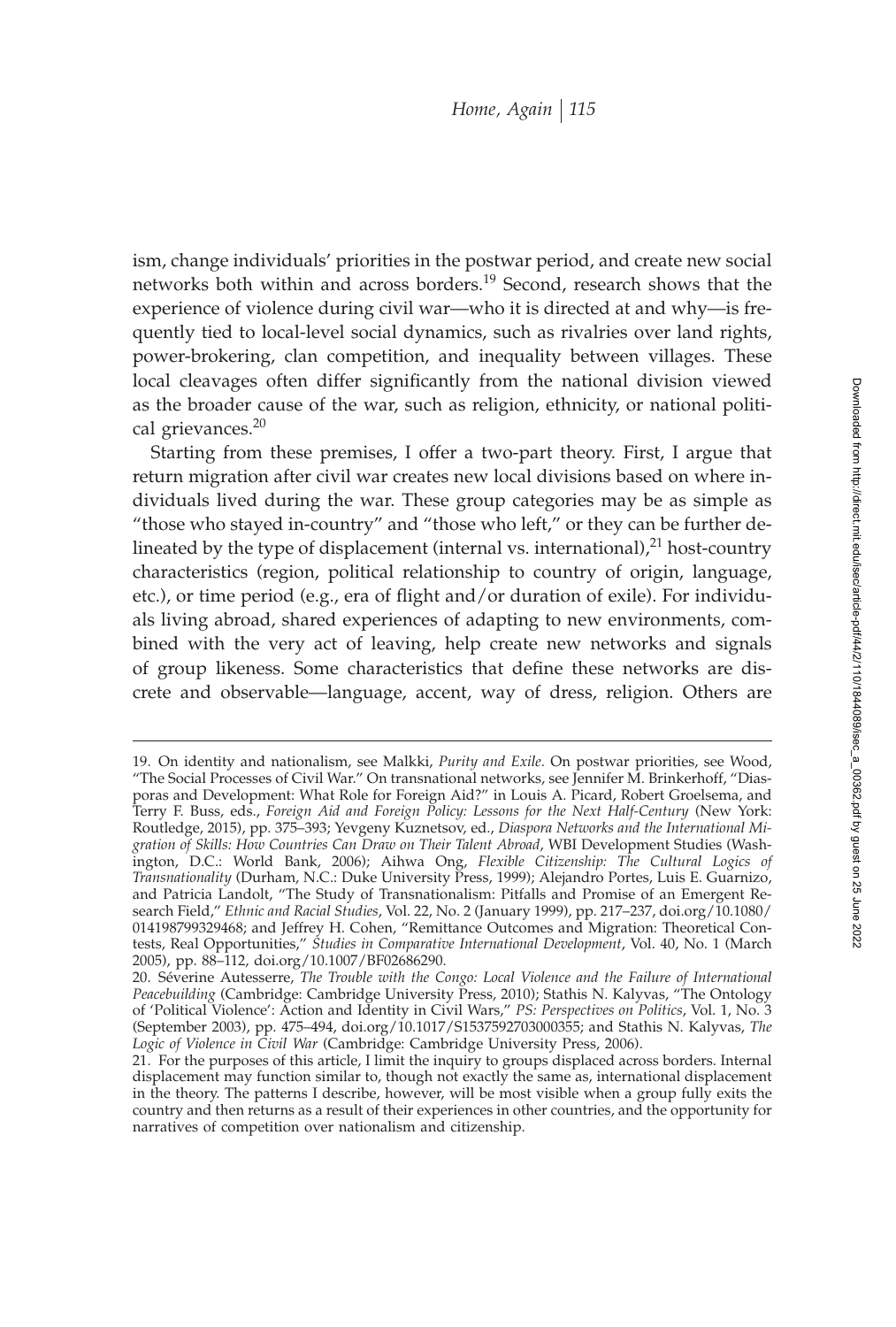ism, change individuals' priorities in the postwar period, and create new social networks both within and across borders.<sup>19</sup> Second, research shows that the experience of violence during civil war—who it is directed at and why—is frequently tied to local-level social dynamics, such as rivalries over land rights, power-brokering, clan competition, and inequality between villages. These local cleavages often differ significantly from the national division viewed as the broader cause of the war, such as religion, ethnicity, or national political grievances.<sup>20</sup>

Starting from these premises, I offer a two-part theory. First, I argue that return migration after civil war creates new local divisions based on where individuals lived during the war. These group categories may be as simple as "those who stayed in-country" and "those who left," or they can be further delineated by the type of displacement (internal vs. international), $^{21}$  host-country characteristics (region, political relationship to country of origin, language, etc.), or time period (e.g., era of flight and/or duration of exile). For individuals living abroad, shared experiences of adapting to new environments, combined with the very act of leaving, help create new networks and signals of group likeness. Some characteristics that define these networks are discrete and observable—language, accent, way of dress, religion. Others are

<sup>19.</sup> On identity and nationalism, see Malkki, *Purity and Exile*. On postwar priorities, see Wood, "The Social Processes of Civil War." On transnational networks, see Jennifer M. Brinkerhoff, "Diasporas and Development: What Role for Foreign Aid?" in Louis A. Picard, Robert Groelsema, and Terry F. Buss, eds., *Foreign Aid and Foreign Policy: Lessons for the Next Half-Century* (New York: Routledge, 2015), pp. 375–393; Yevgeny Kuznetsov, ed., *Diaspora Networks and the International Migration of Skills: How Countries Can Draw on Their Talent Abroad*, WBI Development Studies (Washington, D.C.: World Bank, 2006); Aihwa Ong, *Flexible Citizenship: The Cultural Logics of Transnationality* (Durham, N.C.: Duke University Press, 1999); Alejandro Portes, Luis E. Guarnizo, and Patricia Landolt, "The Study of Transnationalism: Pitfalls and Promise of an Emergent Research Field," *Ethnic and Racial Studies*, Vol. 22, No. 2 (January 1999), pp. 217–237, doi.org/10.1080/ 014198799329468; and Jeffrey H. Cohen, "Remittance Outcomes and Migration: Theoretical Contests, Real Opportunities," *Studies in Comparative International Development*, Vol. 40, No. 1 (March 2005), pp. 88–112, doi.org/10.1007/BF02686290.

<sup>20.</sup> Séverine Autesserre, *The Trouble with the Congo: Local Violence and the Failure of International Peacebuilding* (Cambridge: Cambridge University Press, 2010); Stathis N. Kalyvas, "The Ontology of 'Political Violence': Action and Identity in Civil Wars," *PS: Perspectives on Politics*, Vol. 1, No. 3 (September 2003), pp. 475–494, doi.org/10.1017/S1537592703000355; and Stathis N. Kalyvas, *The Logic of Violence in Civil War* (Cambridge: Cambridge University Press, 2006).

<sup>21.</sup> For the purposes of this article, I limit the inquiry to groups displaced across borders. Internal displacement may function similar to, though not exactly the same as, international displacement in the theory. The patterns I describe, however, will be most visible when a group fully exits the country and then returns as a result of their experiences in other countries, and the opportunity for narratives of competition over nationalism and citizenship.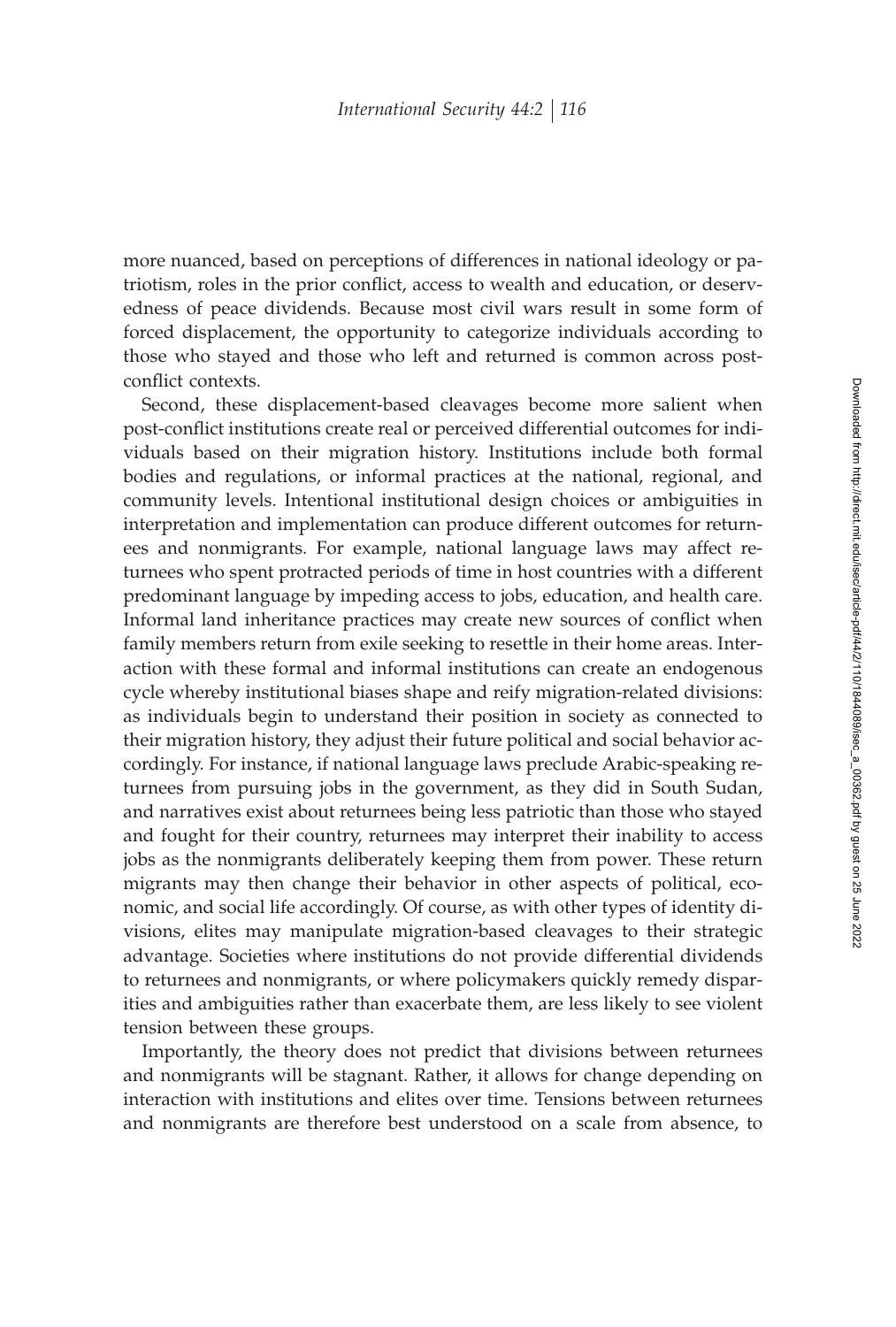more nuanced, based on perceptions of differences in national ideology or patriotism, roles in the prior conflict, access to wealth and education, or deservedness of peace dividends. Because most civil wars result in some form of forced displacement, the opportunity to categorize individuals according to those who stayed and those who left and returned is common across postconflict contexts.

Second, these displacement-based cleavages become more salient when post-conflict institutions create real or perceived differential outcomes for individuals based on their migration history. Institutions include both formal bodies and regulations, or informal practices at the national, regional, and community levels. Intentional institutional design choices or ambiguities in interpretation and implementation can produce different outcomes for returnees and nonmigrants. For example, national language laws may affect returnees who spent protracted periods of time in host countries with a different predominant language by impeding access to jobs, education, and health care. Informal land inheritance practices may create new sources of conflict when family members return from exile seeking to resettle in their home areas. Interaction with these formal and informal institutions can create an endogenous cycle whereby institutional biases shape and reify migration-related divisions: as individuals begin to understand their position in society as connected to their migration history, they adjust their future political and social behavior accordingly. For instance, if national language laws preclude Arabic-speaking returnees from pursuing jobs in the government, as they did in South Sudan, and narratives exist about returnees being less patriotic than those who stayed and fought for their country, returnees may interpret their inability to access jobs as the nonmigrants deliberately keeping them from power. These return migrants may then change their behavior in other aspects of political, economic, and social life accordingly. Of course, as with other types of identity divisions, elites may manipulate migration-based cleavages to their strategic advantage. Societies where institutions do not provide differential dividends to returnees and nonmigrants, or where policymakers quickly remedy disparities and ambiguities rather than exacerbate them, are less likely to see violent tension between these groups.

Importantly, the theory does not predict that divisions between returnees and nonmigrants will be stagnant. Rather, it allows for change depending on interaction with institutions and elites over time. Tensions between returnees and nonmigrants are therefore best understood on a scale from absence, to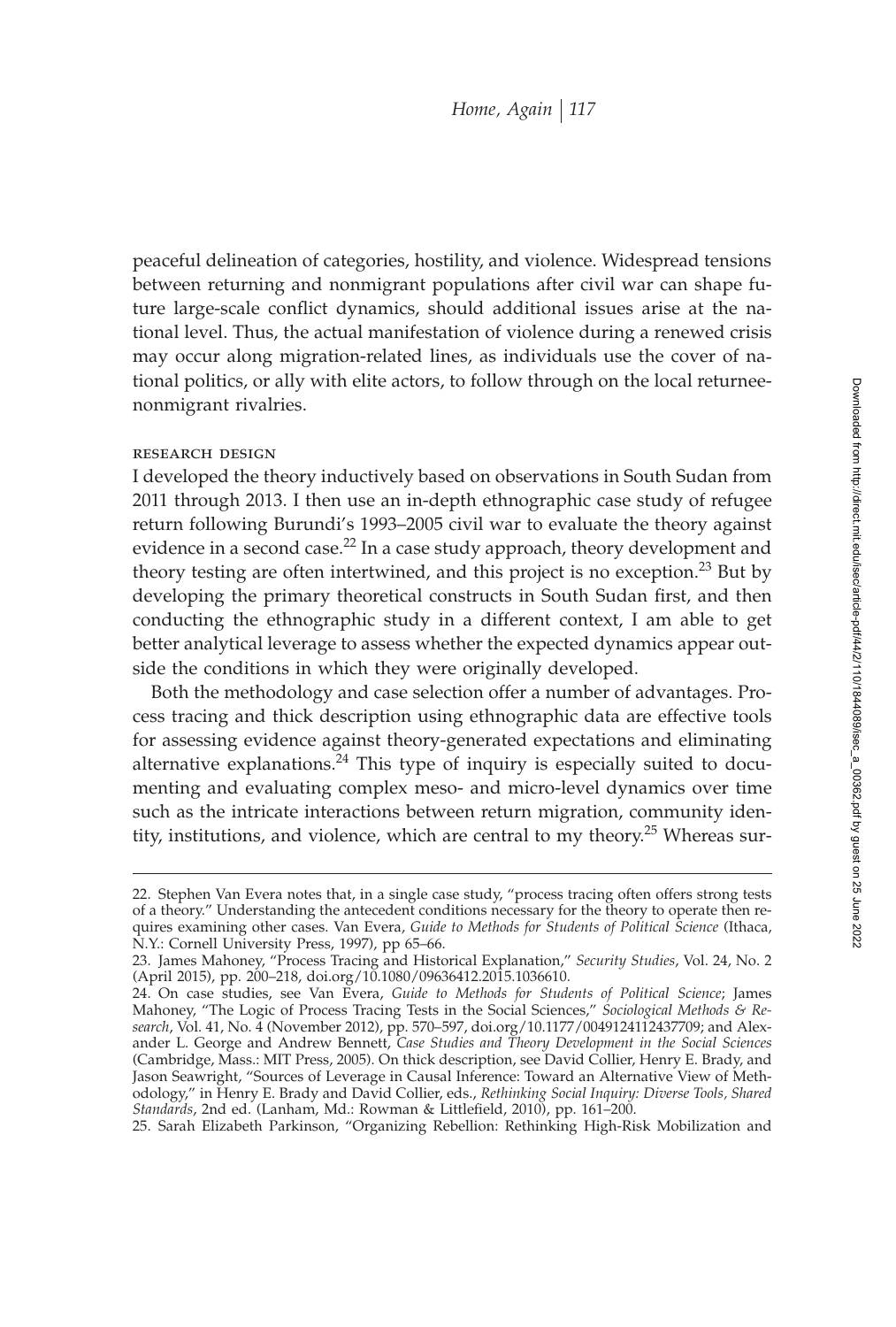peaceful delineation of categories, hostility, and violence. Widespread tensions between returning and nonmigrant populations after civil war can shape future large-scale conflict dynamics, should additional issues arise at the national level. Thus, the actual manifestation of violence during a renewed crisis may occur along migration-related lines, as individuals use the cover of national politics, or ally with elite actors, to follow through on the local returneenonmigrant rivalries.

### research design

I developed the theory inductively based on observations in South Sudan from 2011 through 2013. I then use an in-depth ethnographic case study of refugee return following Burundi's 1993–2005 civil war to evaluate the theory against evidence in a second case.<sup>22</sup> In a case study approach, theory development and theory testing are often intertwined, and this project is no exception.<sup>23</sup> But by developing the primary theoretical constructs in South Sudan first, and then conducting the ethnographic study in a different context, I am able to get better analytical leverage to assess whether the expected dynamics appear outside the conditions in which they were originally developed.

Both the methodology and case selection offer a number of advantages. Process tracing and thick description using ethnographic data are effective tools for assessing evidence against theory-generated expectations and eliminating alternative explanations. $24$  This type of inquiry is especially suited to documenting and evaluating complex meso- and micro-level dynamics over time such as the intricate interactions between return migration, community identity, institutions, and violence, which are central to my theory.<sup>25</sup> Whereas sur-

25. Sarah Elizabeth Parkinson, "Organizing Rebellion: Rethinking High-Risk Mobilization and

<sup>22.</sup> Stephen Van Evera notes that, in a single case study, "process tracing often offers strong tests of a theory." Understanding the antecedent conditions necessary for the theory to operate then requires examining other cases. Van Evera, *Guide to Methods for Students of Political Science* (Ithaca, N.Y.: Cornell University Press, 1997), pp 65–66.

<sup>23.</sup> James Mahoney, "Process Tracing and Historical Explanation," *Security Studies*, Vol. 24, No. 2 (April 2015), pp. 200–218, doi.org/10.1080/09636412.2015.1036610.

<sup>24.</sup> On case studies, see Van Evera, *Guide to Methods for Students of Political Science*; James Mahoney, "The Logic of Process Tracing Tests in the Social Sciences," *Sociological Methods & Research*, Vol. 41, No. 4 (November 2012), pp. 570–597, doi.org/10.1177/0049124112437709; and Alexander L. George and Andrew Bennett, *Case Studies and Theory Development in the Social Sciences* (Cambridge, Mass.: MIT Press, 2005). On thick description, see David Collier, Henry E. Brady, and Jason Seawright, "Sources of Leverage in Causal Inference: Toward an Alternative View of Methodology," in Henry E. Brady and David Collier, eds., *Rethinking Social Inquiry: Diverse Tools, Shared Standards*, 2nd ed. (Lanham, Md.: Rowman & Littlefield, 2010), pp. 161-200.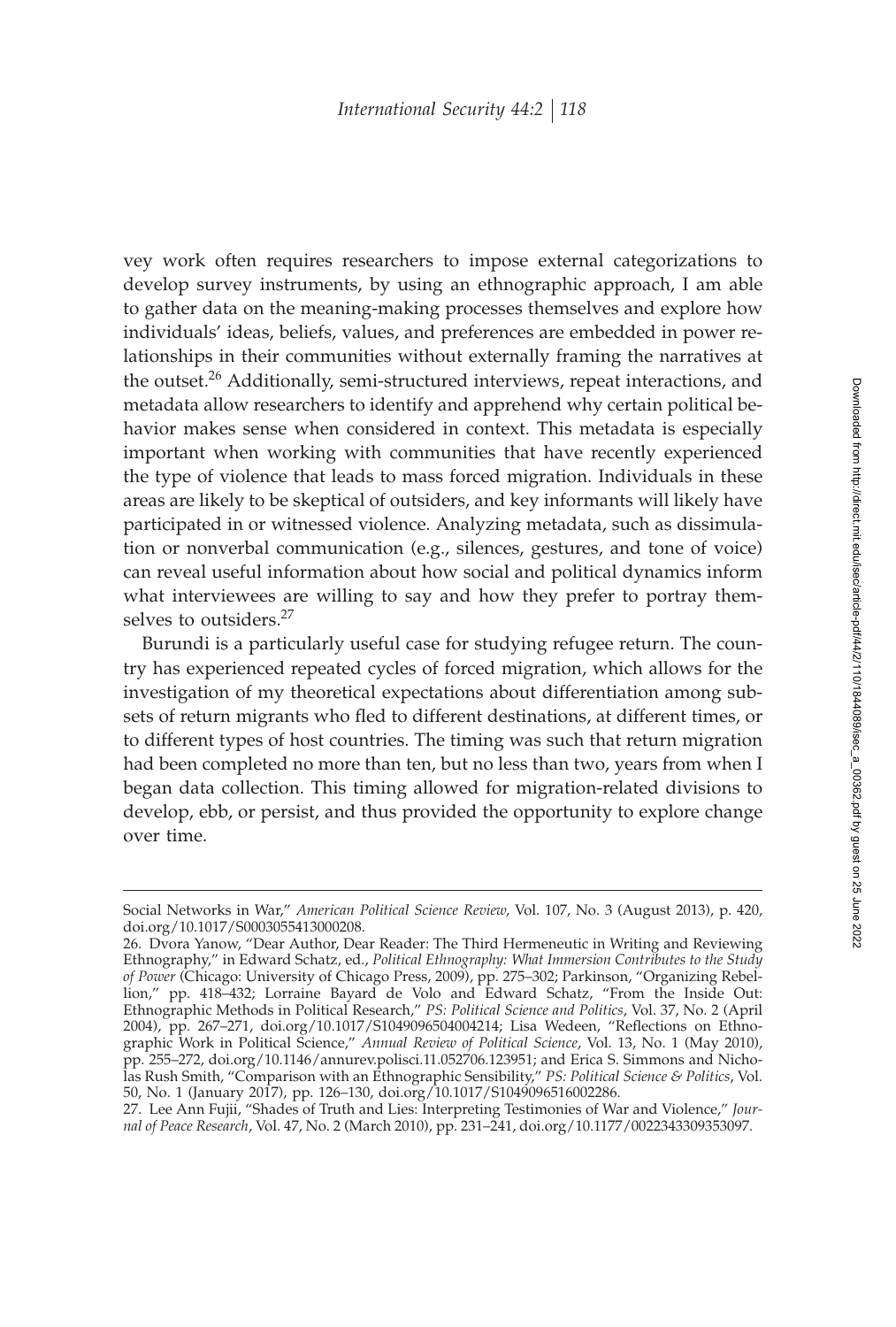vey work often requires researchers to impose external categorizations to develop survey instruments, by using an ethnographic approach, I am able to gather data on the meaning-making processes themselves and explore how individuals' ideas, beliefs, values, and preferences are embedded in power relationships in their communities without externally framing the narratives at the outset.<sup>26</sup> Additionally, semi-structured interviews, repeat interactions, and metadata allow researchers to identify and apprehend why certain political behavior makes sense when considered in context. This metadata is especially important when working with communities that have recently experienced the type of violence that leads to mass forced migration. Individuals in these areas are likely to be skeptical of outsiders, and key informants will likely have participated in or witnessed violence. Analyzing metadata, such as dissimulation or nonverbal communication (e.g., silences, gestures, and tone of voice) can reveal useful information about how social and political dynamics inform what interviewees are willing to say and how they prefer to portray themselves to outsiders.<sup>27</sup>

Burundi is a particularly useful case for studying refugee return. The country has experienced repeated cycles of forced migration, which allows for the investigation of my theoretical expectations about differentiation among subsets of return migrants who fled to different destinations, at different times, or to different types of host countries. The timing was such that return migration had been completed no more than ten, but no less than two, years from when I began data collection. This timing allowed for migration-related divisions to develop, ebb, or persist, and thus provided the opportunity to explore change over time.

Social Networks in War," *American Political Science Review*, Vol. 107, No. 3 (August 2013), p. 420, doi.org/10.1017/S0003055413000208.

<sup>26.</sup> Dvora Yanow, "Dear Author, Dear Reader: The Third Hermeneutic in Writing and Reviewing Ethnography," in Edward Schatz, ed., *Political Ethnography: What Immersion Contributes to the Study of Power* (Chicago: University of Chicago Press, 2009), pp. 275–302; Parkinson, "Organizing Rebellion," pp. 418–432; Lorraine Bayard de Volo and Edward Schatz, "From the Inside Out: Ethnographic Methods in Political Research," *PS: Political Science and Politics*, Vol. 37, No. 2 (April 2004), pp. 267–271, doi.org/10.1017/S1049096504004214; Lisa Wedeen, "Reflections on Ethnographic Work in Political Science," *Annual Review of Political Science*, Vol. 13, No. 1 (May 2010), pp. 255–272, doi.org/10.1146/annurev.polisci.11.052706.123951; and Erica S. Simmons and Nicholas Rush Smith, "Comparison with an Ethnographic Sensibility," *PS: Political Science & Politics*, Vol. 50, No. 1 (January 2017), pp. 126–130, doi.org/10.1017/S1049096516002286.

<sup>27.</sup> Lee Ann Fujii, "Shades of Truth and Lies: Interpreting Testimonies of War and Violence," *Journal of Peace Research*, Vol. 47, No. 2 (March 2010), pp. 231–241, doi.org/10.1177/0022343309353097.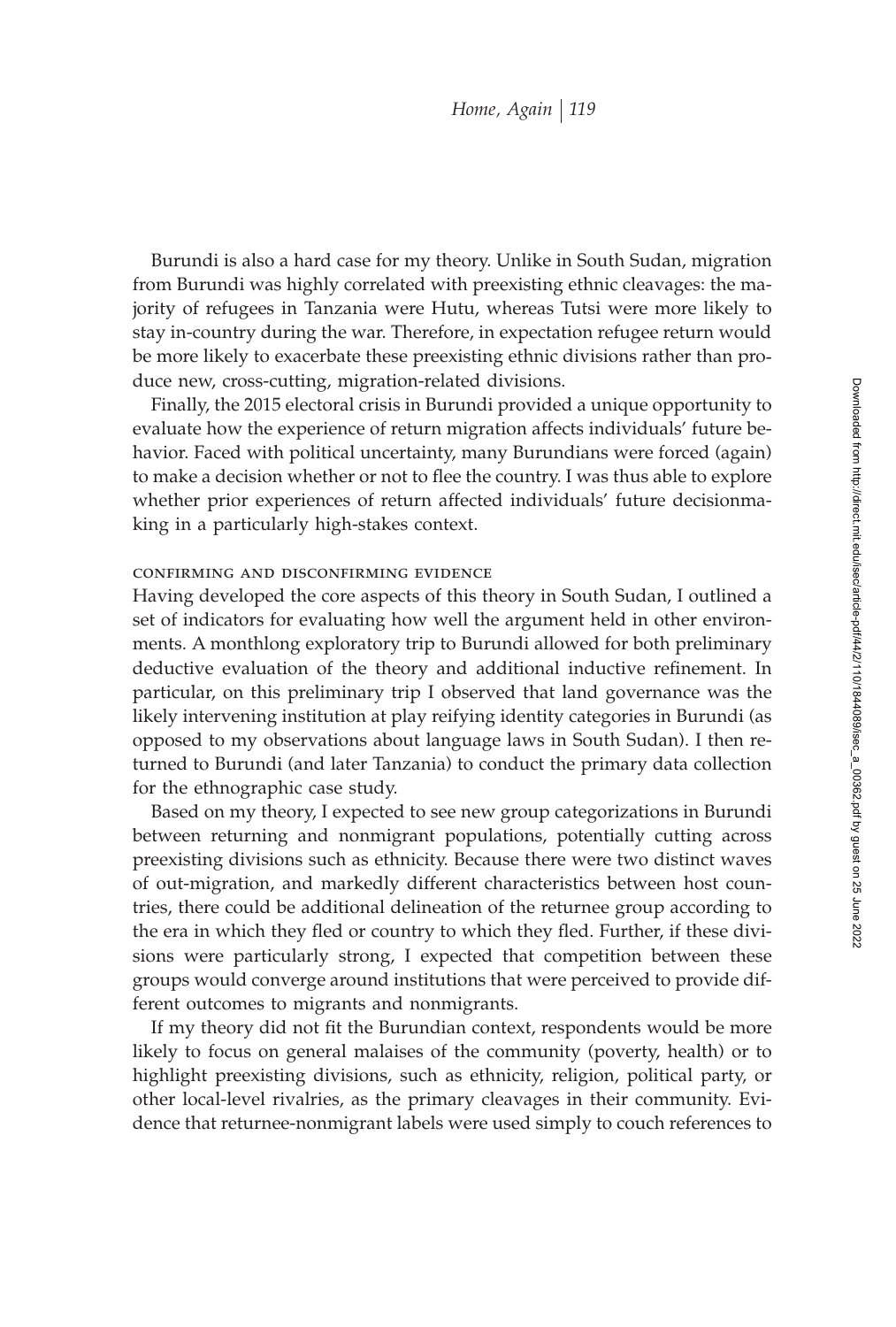Burundi is also a hard case for my theory. Unlike in South Sudan, migration from Burundi was highly correlated with preexisting ethnic cleavages: the majority of refugees in Tanzania were Hutu, whereas Tutsi were more likely to stay in-country during the war. Therefore, in expectation refugee return would be more likely to exacerbate these preexisting ethnic divisions rather than produce new, cross-cutting, migration-related divisions.

Finally, the 2015 electoral crisis in Burundi provided a unique opportunity to evaluate how the experience of return migration affects individuals' future behavior. Faced with political uncertainty, many Burundians were forced (again) to make a decision whether or not to flee the country. I was thus able to explore whether prior experiences of return affected individuals' future decisionmaking in a particularly high-stakes context.

### CONFIRMING AND DISCONFIRMING EVIDENCE

Having developed the core aspects of this theory in South Sudan, I outlined a set of indicators for evaluating how well the argument held in other environments. A monthlong exploratory trip to Burundi allowed for both preliminary deductive evaluation of the theory and additional inductive refinement. In particular, on this preliminary trip I observed that land governance was the likely intervening institution at play reifying identity categories in Burundi (as opposed to my observations about language laws in South Sudan). I then returned to Burundi (and later Tanzania) to conduct the primary data collection for the ethnographic case study.

Based on my theory, I expected to see new group categorizations in Burundi between returning and nonmigrant populations, potentially cutting across preexisting divisions such as ethnicity. Because there were two distinct waves of out-migration, and markedly different characteristics between host countries, there could be additional delineation of the returnee group according to the era in which they fled or country to which they fled. Further, if these divisions were particularly strong, I expected that competition between these groups would converge around institutions that were perceived to provide different outcomes to migrants and nonmigrants.

If my theory did not fit the Burundian context, respondents would be more likely to focus on general malaises of the community (poverty, health) or to highlight preexisting divisions, such as ethnicity, religion, political party, or other local-level rivalries, as the primary cleavages in their community. Evidence that returnee-nonmigrant labels were used simply to couch references to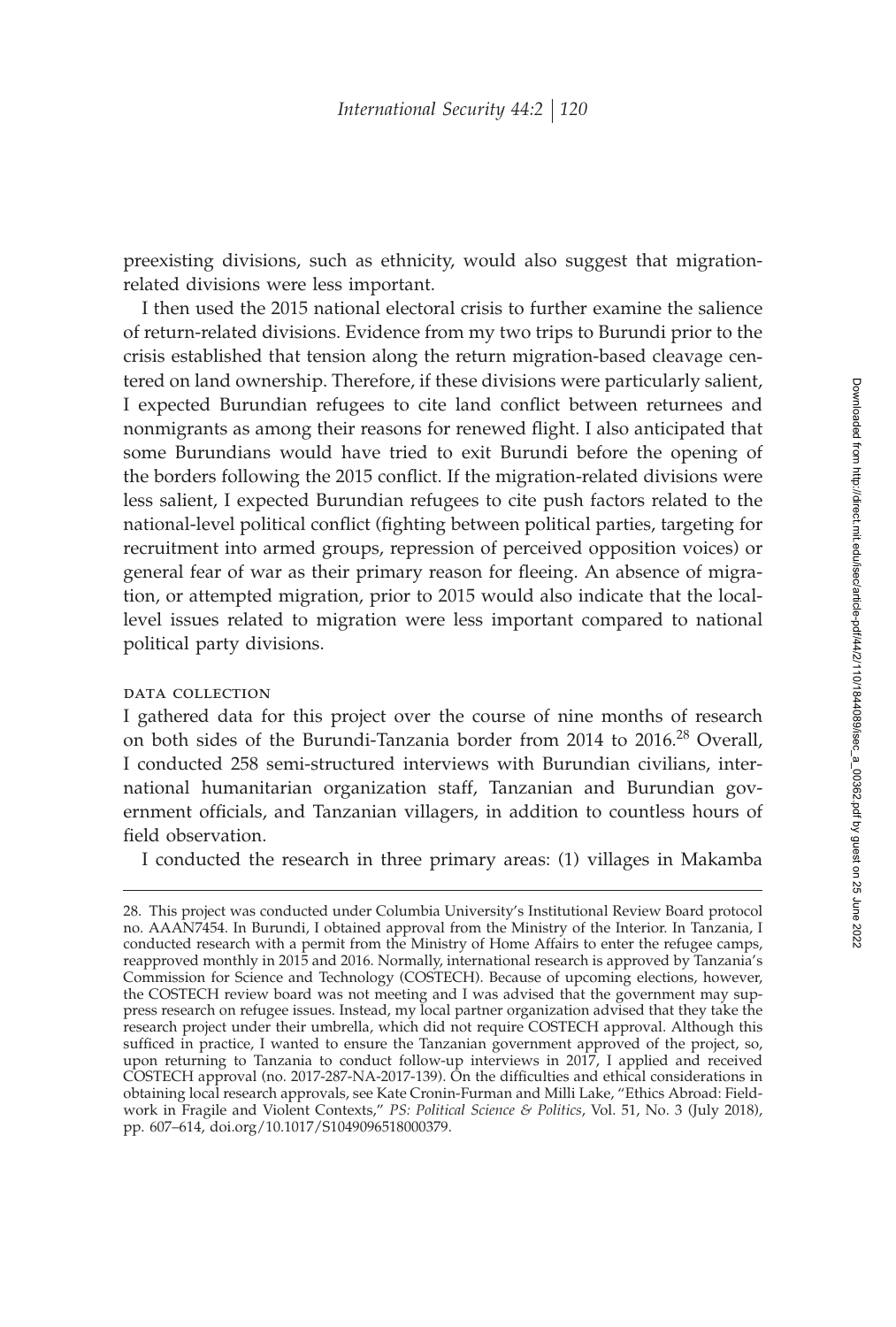preexisting divisions, such as ethnicity, would also suggest that migrationrelated divisions were less important.

I then used the 2015 national electoral crisis to further examine the salience of return-related divisions. Evidence from my two trips to Burundi prior to the crisis established that tension along the return migration-based cleavage centered on land ownership. Therefore, if these divisions were particularly salient, I expected Burundian refugees to cite land conflict between returnees and nonmigrants as among their reasons for renewed flight. I also anticipated that some Burundians would have tried to exit Burundi before the opening of the borders following the 2015 conflict. If the migration-related divisions were less salient, I expected Burundian refugees to cite push factors related to the national-level political conflict (fighting between political parties, targeting for recruitment into armed groups, repression of perceived opposition voices) or general fear of war as their primary reason for fleeing. An absence of migration, or attempted migration, prior to 2015 would also indicate that the locallevel issues related to migration were less important compared to national political party divisions.

### data collection

I gathered data for this project over the course of nine months of research on both sides of the Burundi-Tanzania border from 2014 to 2016.<sup>28</sup> Overall, I conducted 258 semi-structured interviews with Burundian civilians, international humanitarian organization staff, Tanzanian and Burundian government officials, and Tanzanian villagers, in addition to countless hours of field observation.

I conducted the research in three primary areas: (1) villages in Makamba

<sup>28.</sup> This project was conducted under Columbia University's Institutional Review Board protocol no. AAAN7454. In Burundi, I obtained approval from the Ministry of the Interior. In Tanzania, I conducted research with a permit from the Ministry of Home Affairs to enter the refugee camps, reapproved monthly in 2015 and 2016. Normally, international research is approved by Tanzania's Commission for Science and Technology (COSTECH). Because of upcoming elections, however, the COSTECH review board was not meeting and I was advised that the government may suppress research on refugee issues. Instead, my local partner organization advised that they take the research project under their umbrella, which did not require COSTECH approval. Although this sufficed in practice, I wanted to ensure the Tanzanian government approved of the project, so, upon returning to Tanzania to conduct follow-up interviews in 2017, I applied and received COSTECH approval (no. 2017-287-NA-2017-139). On the difficulties and ethical considerations in obtaining local research approvals, see Kate Cronin-Furman and Milli Lake, "Ethics Abroad: Fieldwork in Fragile and Violent Contexts," *PS: Political Science & Politics*, Vol. 51, No. 3 (July 2018), pp. 607–614, doi.org/10.1017/S1049096518000379.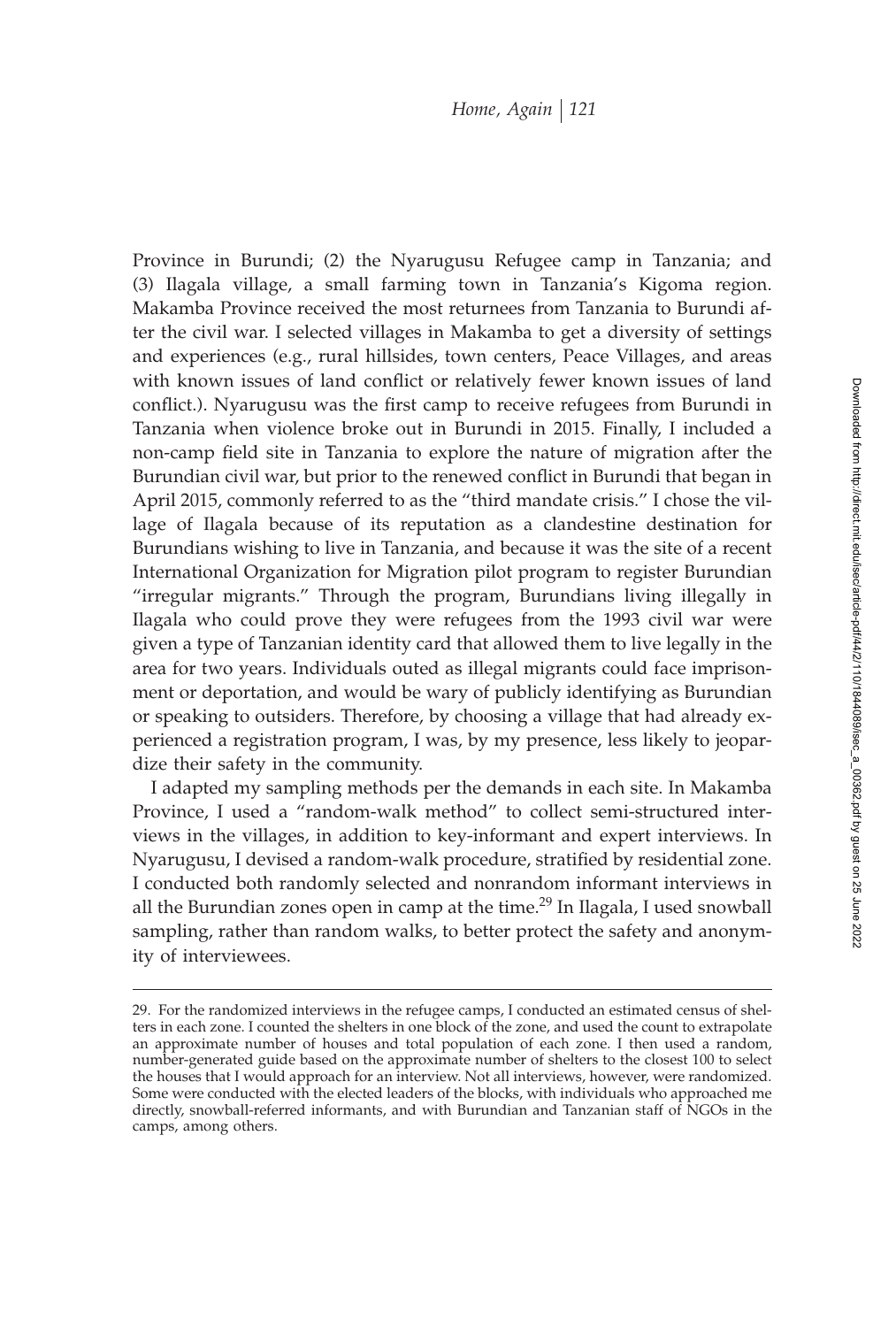Province in Burundi; (2) the Nyarugusu Refugee camp in Tanzania; and (3) Ilagala village, a small farming town in Tanzania's Kigoma region. Makamba Province received the most returnees from Tanzania to Burundi after the civil war. I selected villages in Makamba to get a diversity of settings and experiences (e.g., rural hillsides, town centers, Peace Villages, and areas with known issues of land conflict or relatively fewer known issues of land conflict.). Nyarugusu was the first camp to receive refugees from Burundi in Tanzania when violence broke out in Burundi in 2015. Finally, I included a non-camp field site in Tanzania to explore the nature of migration after the Burundian civil war, but prior to the renewed conflict in Burundi that began in April 2015, commonly referred to as the "third mandate crisis." I chose the village of Ilagala because of its reputation as a clandestine destination for Burundians wishing to live in Tanzania, and because it was the site of a recent International Organization for Migration pilot program to register Burundian "irregular migrants." Through the program, Burundians living illegally in Ilagala who could prove they were refugees from the 1993 civil war were given a type of Tanzanian identity card that allowed them to live legally in the area for two years. Individuals outed as illegal migrants could face imprisonment or deportation, and would be wary of publicly identifying as Burundian or speaking to outsiders. Therefore, by choosing a village that had already experienced a registration program, I was, by my presence, less likely to jeopardize their safety in the community.

I adapted my sampling methods per the demands in each site. In Makamba Province, I used a "random-walk method" to collect semi-structured interviews in the villages, in addition to key-informant and expert interviews. In Nyarugusu, I devised a random-walk procedure, stratified by residential zone. I conducted both randomly selected and nonrandom informant interviews in all the Burundian zones open in camp at the time.<sup>29</sup> In Ilagala, I used snowball sampling, rather than random walks, to better protect the safety and anonymity of interviewees.

<sup>29.</sup> For the randomized interviews in the refugee camps, I conducted an estimated census of shelters in each zone. I counted the shelters in one block of the zone, and used the count to extrapolate an approximate number of houses and total population of each zone. I then used a random, number-generated guide based on the approximate number of shelters to the closest 100 to select the houses that I would approach for an interview. Not all interviews, however, were randomized. Some were conducted with the elected leaders of the blocks, with individuals who approached me directly, snowball-referred informants, and with Burundian and Tanzanian staff of NGOs in the camps, among others.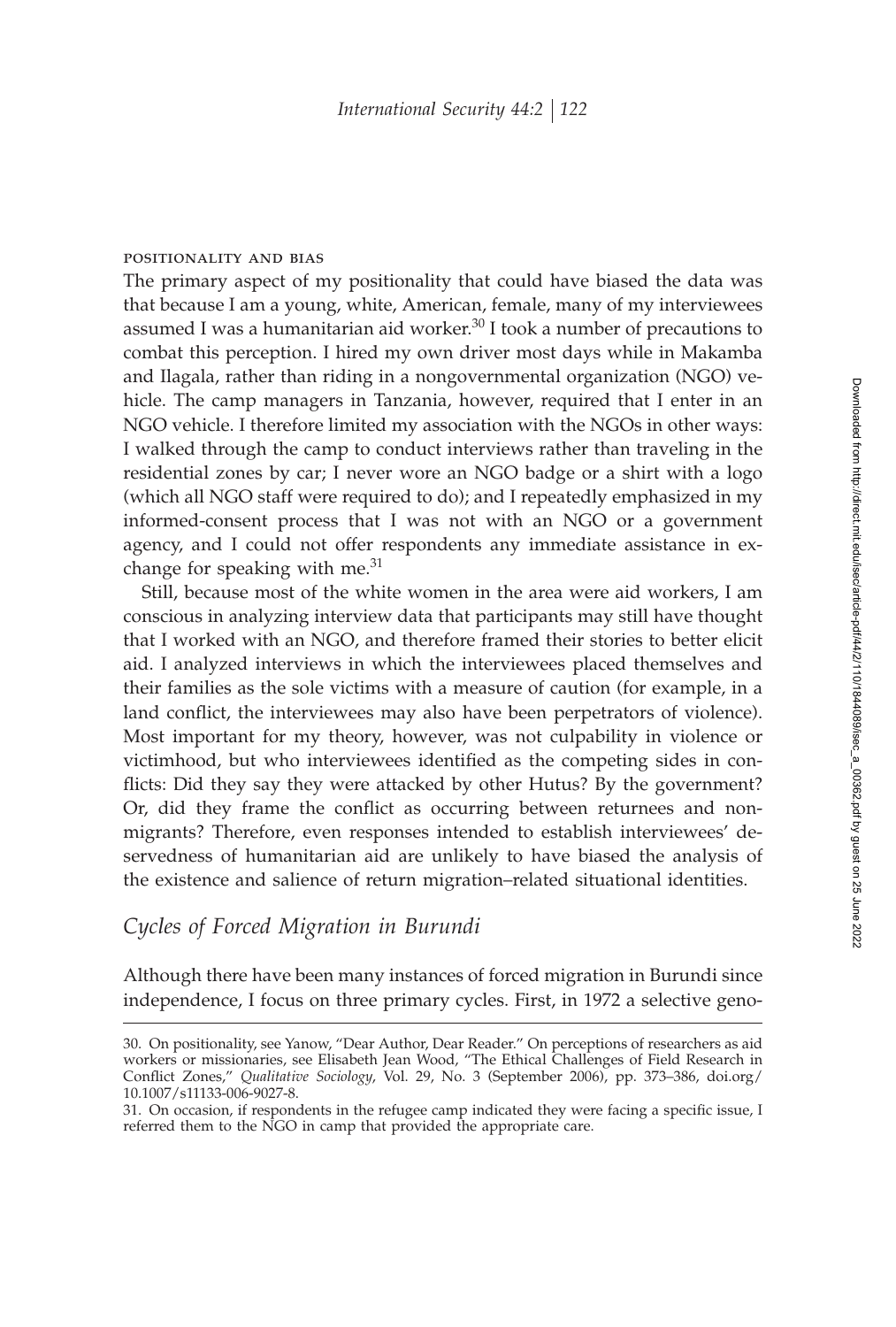### positionality and bias

The primary aspect of my positionality that could have biased the data was that because I am a young, white, American, female, many of my interviewees assumed I was a humanitarian aid worker.<sup>30</sup> I took a number of precautions to combat this perception. I hired my own driver most days while in Makamba and Ilagala, rather than riding in a nongovernmental organization (NGO) vehicle. The camp managers in Tanzania, however, required that I enter in an NGO vehicle. I therefore limited my association with the NGOs in other ways: I walked through the camp to conduct interviews rather than traveling in the residential zones by car; I never wore an NGO badge or a shirt with a logo (which all NGO staff were required to do); and I repeatedly emphasized in my informed-consent process that I was not with an NGO or a government agency, and I could not offer respondents any immediate assistance in exchange for speaking with me. $31$ 

Still, because most of the white women in the area were aid workers, I am conscious in analyzing interview data that participants may still have thought that I worked with an NGO, and therefore framed their stories to better elicit aid. I analyzed interviews in which the interviewees placed themselves and their families as the sole victims with a measure of caution (for example, in a land conflict, the interviewees may also have been perpetrators of violence). Most important for my theory, however, was not culpability in violence or victimhood, but who interviewees identified as the competing sides in conflicts: Did they say they were attacked by other Hutus? By the government? Or, did they frame the conflict as occurring between returnees and nonmigrants? Therefore, even responses intended to establish interviewees' deservedness of humanitarian aid are unlikely to have biased the analysis of the existence and salience of return migration–related situational identities.

# *Cycles of Forced Migration in Burundi*

Although there have been many instances of forced migration in Burundi since independence, I focus on three primary cycles. First, in 1972 a selective geno-

<sup>30.</sup> On positionality, see Yanow, "Dear Author, Dear Reader." On perceptions of researchers as aid workers or missionaries, see Elisabeth Jean Wood, "The Ethical Challenges of Field Research in Conºict Zones," *Qualitative Sociology*, Vol. 29, No. 3 (September 2006), pp. 373–386, doi.org/ 10.1007/s11133-006-9027-8.

<sup>31.</sup> On occasion, if respondents in the refugee camp indicated they were facing a specific issue, I referred them to the NGO in camp that provided the appropriate care.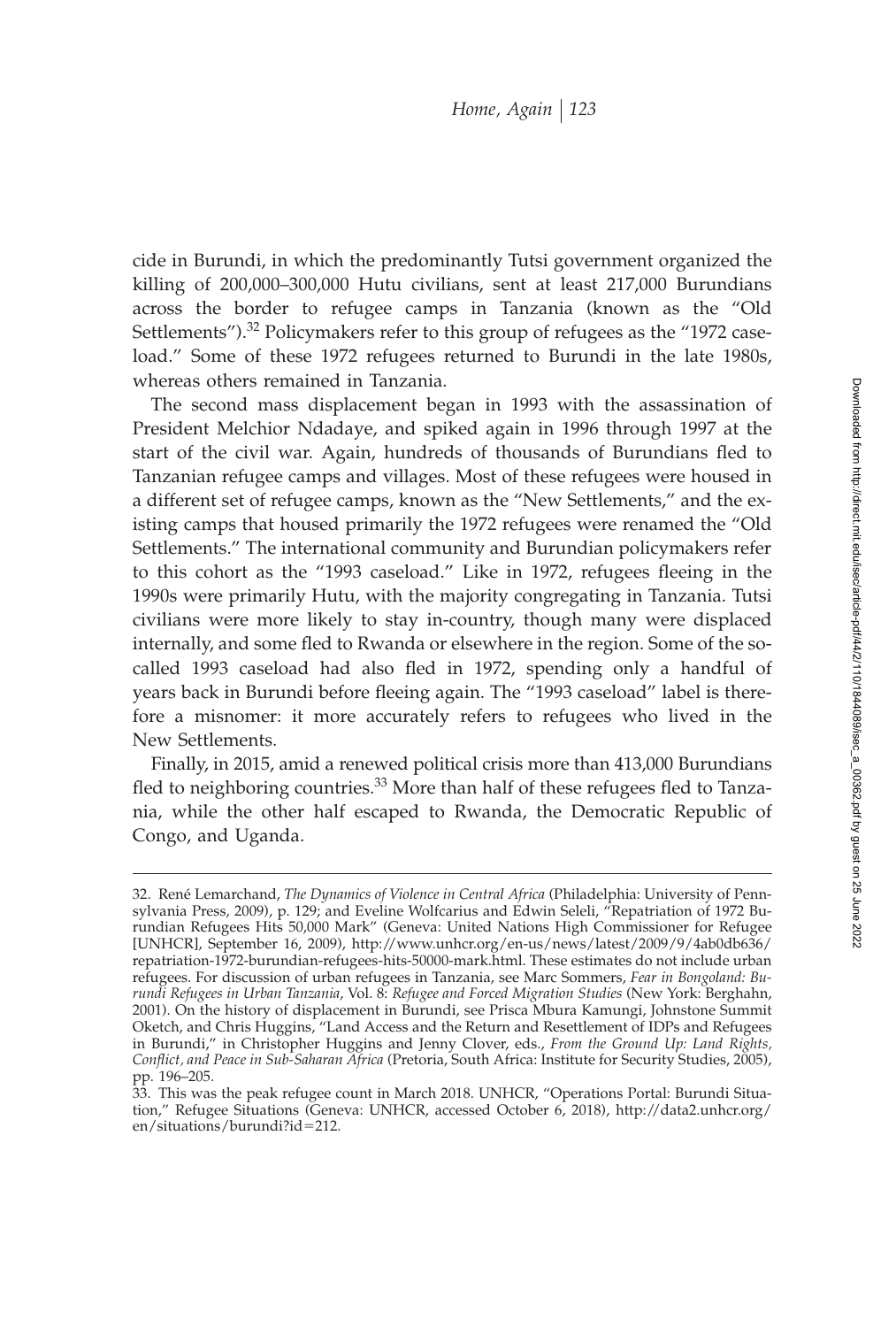cide in Burundi, in which the predominantly Tutsi government organized the killing of 200,000–300,000 Hutu civilians, sent at least 217,000 Burundians across the border to refugee camps in Tanzania (known as the "Old Settlements").<sup>32</sup> Policymakers refer to this group of refugees as the "1972 caseload." Some of these 1972 refugees returned to Burundi in the late 1980s, whereas others remained in Tanzania.

The second mass displacement began in 1993 with the assassination of President Melchior Ndadaye, and spiked again in 1996 through 1997 at the start of the civil war. Again, hundreds of thousands of Burundians fled to Tanzanian refugee camps and villages. Most of these refugees were housed in a different set of refugee camps, known as the "New Settlements," and the existing camps that housed primarily the 1972 refugees were renamed the "Old Settlements." The international community and Burundian policymakers refer to this cohort as the "1993 caseload." Like in 1972, refugees fleeing in the 1990s were primarily Hutu, with the majority congregating in Tanzania. Tutsi civilians were more likely to stay in-country, though many were displaced internally, and some fled to Rwanda or elsewhere in the region. Some of the socalled 1993 caseload had also fled in 1972, spending only a handful of years back in Burundi before fleeing again. The "1993 caseload" label is therefore a misnomer: it more accurately refers to refugees who lived in the New Settlements.

Finally, in 2015, amid a renewed political crisis more than 413,000 Burundians fled to neighboring countries.<sup>33</sup> More than half of these refugees fled to Tanzania, while the other half escaped to Rwanda, the Democratic Republic of Congo, and Uganda.

<sup>32.</sup> René Lemarchand, *The Dynamics of Violence in Central Africa* (Philadelphia: University of Pennsylvania Press, 2009), p. 129; and Eveline Wolfcarius and Edwin Seleli, "Repatriation of 1972 Burundian Refugees Hits 50,000 Mark" (Geneva: United Nations High Commissioner for Refugee [UNHCR], September 16, 2009), http://www.unhcr.org/en-us/news/latest/2009/9/4ab0db636/ repatriation-1972-burundian-refugees-hits-50000-mark.html. These estimates do not include urban refugees. For discussion of urban refugees in Tanzania, see Marc Sommers, *Fear in Bongoland: Burundi Refugees in Urban Tanzania*, Vol. 8: *Refugee and Forced Migration Studies* (New York: Berghahn, 2001). On the history of displacement in Burundi, see Prisca Mbura Kamungi, Johnstone Summit Oketch, and Chris Huggins, "Land Access and the Return and Resettlement of IDPs and Refugees in Burundi," in Christopher Huggins and Jenny Clover, eds., *From the Ground Up: Land Rights, Conºict, and Peace in Sub-Saharan Africa* (Pretoria, South Africa: Institute for Security Studies, 2005), pp. 196–205.

<sup>33.</sup> This was the peak refugee count in March 2018. UNHCR, "Operations Portal: Burundi Situation," Refugee Situations (Geneva: UNHCR, accessed October 6, 2018), http://data2.unhcr.org/ en/situations/burundi?id-212.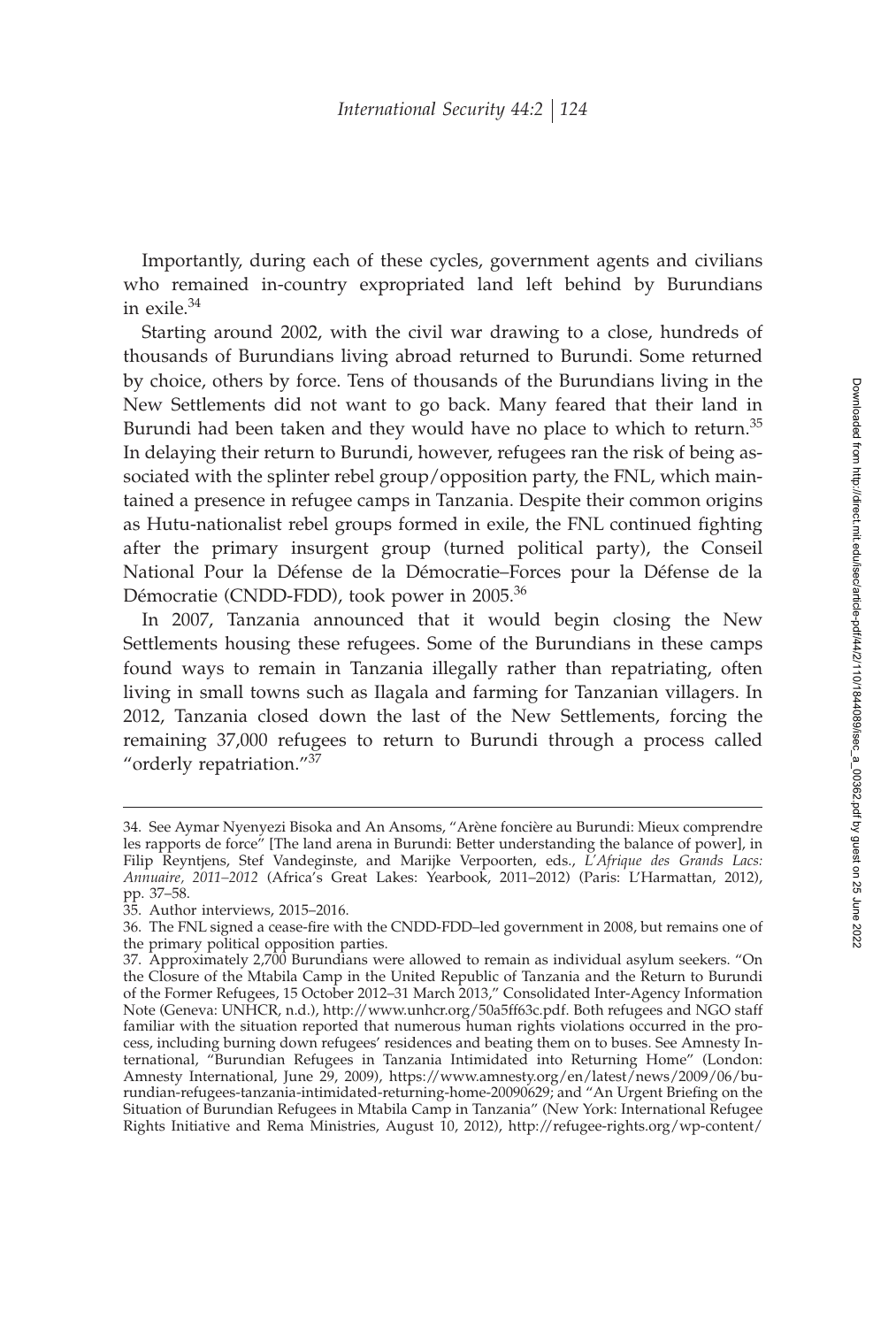Importantly, during each of these cycles, government agents and civilians who remained in-country expropriated land left behind by Burundians in exile.<sup>34</sup>

Starting around 2002, with the civil war drawing to a close, hundreds of thousands of Burundians living abroad returned to Burundi. Some returned by choice, others by force. Tens of thousands of the Burundians living in the New Settlements did not want to go back. Many feared that their land in Burundi had been taken and they would have no place to which to return.<sup>35</sup> In delaying their return to Burundi, however, refugees ran the risk of being associated with the splinter rebel group/opposition party, the FNL, which maintained a presence in refugee camps in Tanzania. Despite their common origins as Hutu-nationalist rebel groups formed in exile, the FNL continued fighting after the primary insurgent group (turned political party), the Conseil National Pour la Défense de la Démocratie–Forces pour la Défense de la Démocratie (CNDD-FDD), took power in 2005.<sup>36</sup>

In 2007, Tanzania announced that it would begin closing the New Settlements housing these refugees. Some of the Burundians in these camps found ways to remain in Tanzania illegally rather than repatriating, often living in small towns such as Ilagala and farming for Tanzanian villagers. In 2012, Tanzania closed down the last of the New Settlements, forcing the remaining 37,000 refugees to return to Burundi through a process called "orderly repatriation."<sup>37</sup>

<sup>34.</sup> See Aymar Nyenyezi Bisoka and An Ansoms, "Arène foncière au Burundi: Mieux comprendre les rapports de force" [The land arena in Burundi: Better understanding the balance of power], in Filip Reyntjens, Stef Vandeginste, and Marijke Verpoorten, eds., *L'Afrique des Grands Lacs: Annuaire, 2011–2012* (Africa's Great Lakes: Yearbook, 2011–2012) (Paris: L'Harmattan, 2012), pp. 37–58.

<sup>35.</sup> Author interviews, 2015–2016.

<sup>36.</sup> The FNL signed a cease-fire with the CNDD-FDD-led government in 2008, but remains one of the primary political opposition parties.

<sup>37.</sup> Approximately 2,700 Burundians were allowed to remain as individual asylum seekers. "On the Closure of the Mtabila Camp in the United Republic of Tanzania and the Return to Burundi of the Former Refugees, 15 October 2012–31 March 2013," Consolidated Inter-Agency Information Note (Geneva: UNHCR, n.d.), http://www.unhcr.org/50a5ff63c.pdf. Both refugees and NGO staff familiar with the situation reported that numerous human rights violations occurred in the process, including burning down refugees' residences and beating them on to buses. See Amnesty International, "Burundian Refugees in Tanzania Intimidated into Returning Home" (London: Amnesty International, June 29, 2009), https://www.amnesty.org/en/latest/news/2009/06/burundian-refugees-tanzania-intimidated-returning-home-20090629; and "An Urgent Briefing on the Situation of Burundian Refugees in Mtabila Camp in Tanzania" (New York: International Refugee Rights Initiative and Rema Ministries, August 10, 2012), http://refugee-rights.org/wp-content/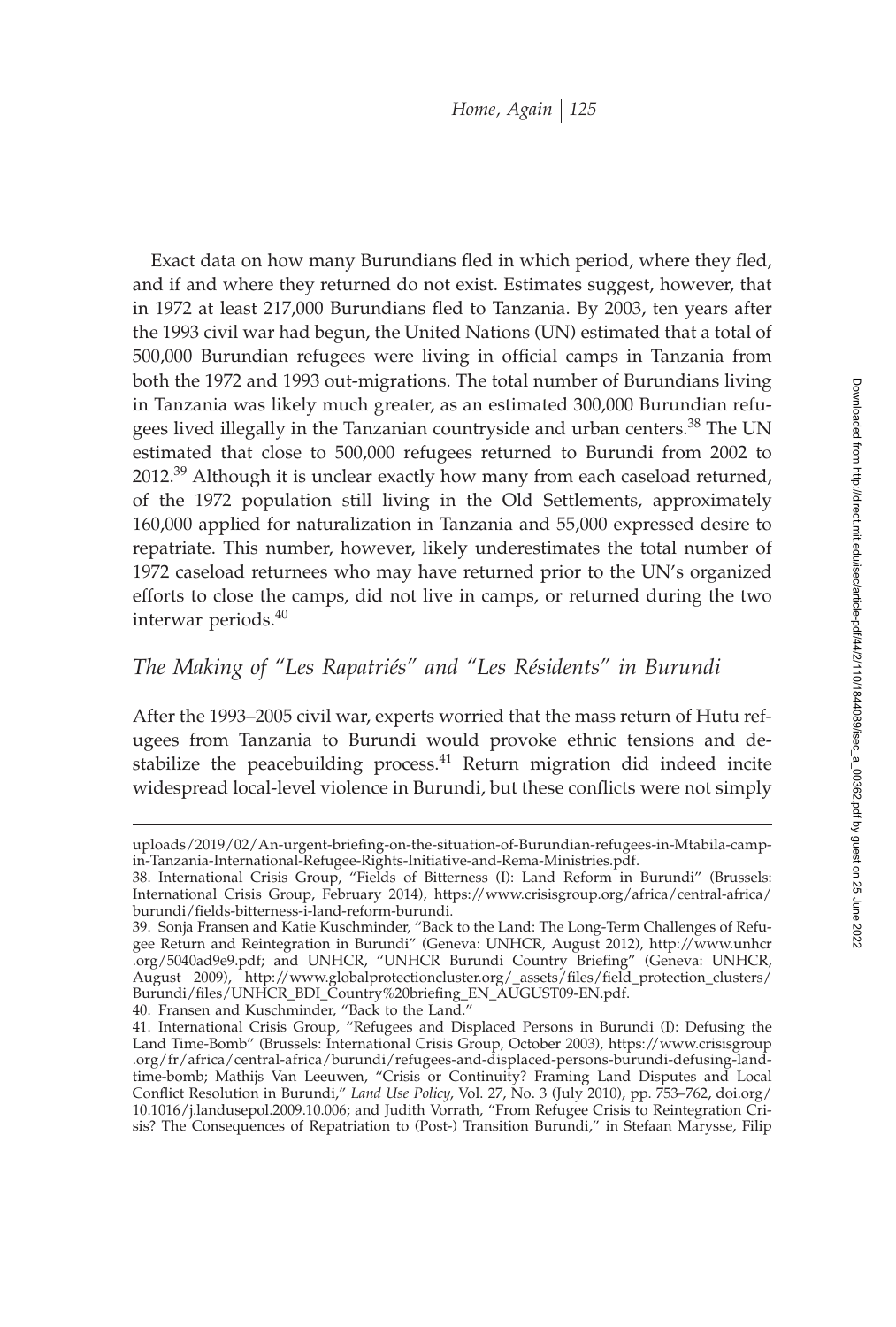Exact data on how many Burundians fled in which period, where they fled, and if and where they returned do not exist. Estimates suggest, however, that in 1972 at least 217,000 Burundians fled to Tanzania. By 2003, ten years after the 1993 civil war had begun, the United Nations (UN) estimated that a total of 500,000 Burundian refugees were living in official camps in Tanzania from both the 1972 and 1993 out-migrations. The total number of Burundians living in Tanzania was likely much greater, as an estimated 300,000 Burundian refugees lived illegally in the Tanzanian countryside and urban centers.<sup>38</sup> The UN estimated that close to 500,000 refugees returned to Burundi from 2002 to 2012.<sup>39</sup> Although it is unclear exactly how many from each caseload returned, of the 1972 population still living in the Old Settlements, approximately 160,000 applied for naturalization in Tanzania and 55,000 expressed desire to repatriate. This number, however, likely underestimates the total number of 1972 caseload returnees who may have returned prior to the UN's organized efforts to close the camps, did not live in camps, or returned during the two interwar periods.<sup>40</sup>

# *The Making of "Les Rapatriés" and "Les Résidents" in Burundi*

After the 1993–2005 civil war, experts worried that the mass return of Hutu refugees from Tanzania to Burundi would provoke ethnic tensions and destabilize the peacebuilding process. $41$  Return migration did indeed incite widespread local-level violence in Burundi, but these conflicts were not simply

40. Fransen and Kuschminder, "Back to the Land."

uploads/2019/02/An-urgent-briefing-on-the-situation-of-Burundian-refugees-in-Mtabila-campin-Tanzania-International-Refugee-Rights-Initiative-and-Rema-Ministries.pdf.

<sup>38.</sup> International Crisis Group, "Fields of Bitterness (I): Land Reform in Burundi" (Brussels: International Crisis Group, February 2014), https://www.crisisgroup.org/africa/central-africa/ burundi/fields-bitterness-i-land-reform-burundi.

<sup>39.</sup> Sonja Fransen and Katie Kuschminder, "Back to the Land: The Long-Term Challenges of Refugee Return and Reintegration in Burundi" (Geneva: UNHCR, August 2012), http://www.unhcr .org/5040ad9e9.pdf; and UNHCR, "UNHCR Burundi Country Briefing" (Geneva: UNHCR, August 2009), http://www.globalprotectioncluster.org/\_assets/files/field\_protection\_clusters/ Burundi/files/UNHCR\_BDI\_Country%20briefing\_EN\_AUGUST09-EN.pdf.

<sup>41.</sup> International Crisis Group, "Refugees and Displaced Persons in Burundi (I): Defusing the Land Time-Bomb" (Brussels: International Crisis Group, October 2003), https://www.crisisgroup .org/fr/africa/central-africa/burundi/refugees-and-displaced-persons-burundi-defusing-landtime-bomb; Mathijs Van Leeuwen, "Crisis or Continuity? Framing Land Disputes and Local Conflict Resolution in Burundi," *Land Use Policy*, Vol. 27, No. 3 (July 2010), pp. 753-762, doi.org/ 10.1016/j.landusepol.2009.10.006; and Judith Vorrath, "From Refugee Crisis to Reintegration Crisis? The Consequences of Repatriation to (Post-) Transition Burundi," in Stefaan Marysse, Filip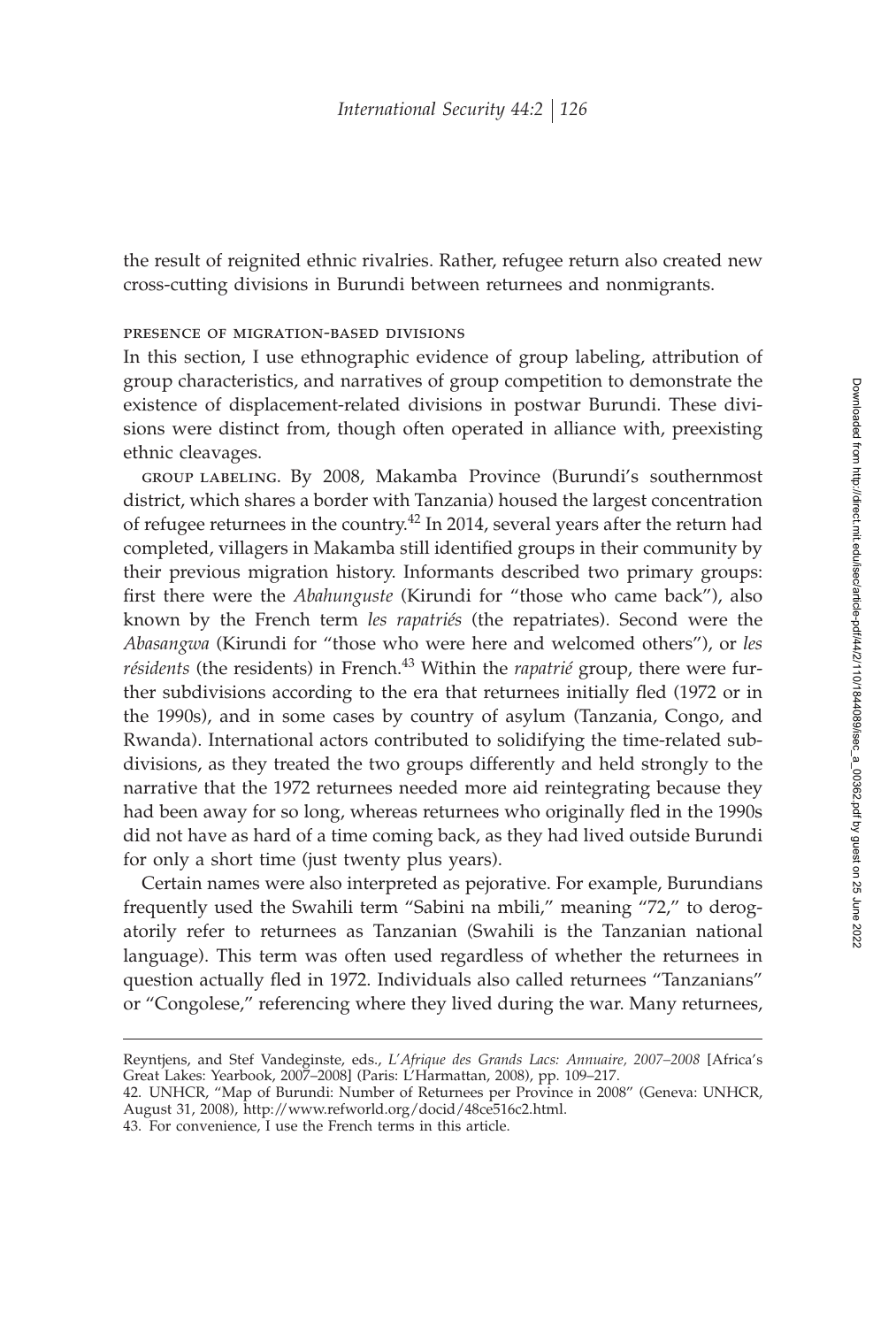the result of reignited ethnic rivalries. Rather, refugee return also created new cross-cutting divisions in Burundi between returnees and nonmigrants.

presence of migration-based divisions

In this section, I use ethnographic evidence of group labeling, attribution of group characteristics, and narratives of group competition to demonstrate the existence of displacement-related divisions in postwar Burundi. These divisions were distinct from, though often operated in alliance with, preexisting ethnic cleavages.

group labeling. By 2008, Makamba Province (Burundi's southernmost district, which shares a border with Tanzania) housed the largest concentration of refugee returnees in the country.<sup>42</sup> In 2014, several years after the return had completed, villagers in Makamba still identified groups in their community by their previous migration history. Informants described two primary groups: first there were the *Abahunguste* (Kirundi for "those who came back"), also known by the French term *les rapatriés* (the repatriates). Second were the *Abasangwa* (Kirundi for "those who were here and welcomed others"), or *les résidents* (the residents) in French.<sup>43</sup> Within the *rapatrié* group, there were further subdivisions according to the era that returnees initially fled (1972 or in the 1990s), and in some cases by country of asylum (Tanzania, Congo, and Rwanda). International actors contributed to solidifying the time-related subdivisions, as they treated the two groups differently and held strongly to the narrative that the 1972 returnees needed more aid reintegrating because they had been away for so long, whereas returnees who originally fled in the 1990s did not have as hard of a time coming back, as they had lived outside Burundi for only a short time (just twenty plus years).

Certain names were also interpreted as pejorative. For example, Burundians frequently used the Swahili term "Sabini na mbili," meaning "72," to derogatorily refer to returnees as Tanzanian (Swahili is the Tanzanian national language). This term was often used regardless of whether the returnees in question actually fled in 1972. Individuals also called returnees "Tanzanians" or "Congolese," referencing where they lived during the war. Many returnees,

Reyntjens, and Stef Vandeginste, eds., *L'Afrique des Grands Lacs: Annuaire, 2007–2008* [Africa's Great Lakes: Yearbook, 2007–2008] (Paris: L'Harmattan, 2008), pp. 109–217.

<sup>42.</sup> UNHCR, "Map of Burundi: Number of Returnees per Province in 2008" (Geneva: UNHCR, August 31, 2008), http://www.refworld.org/docid/48ce516c2.html.

<sup>43.</sup> For convenience, I use the French terms in this article.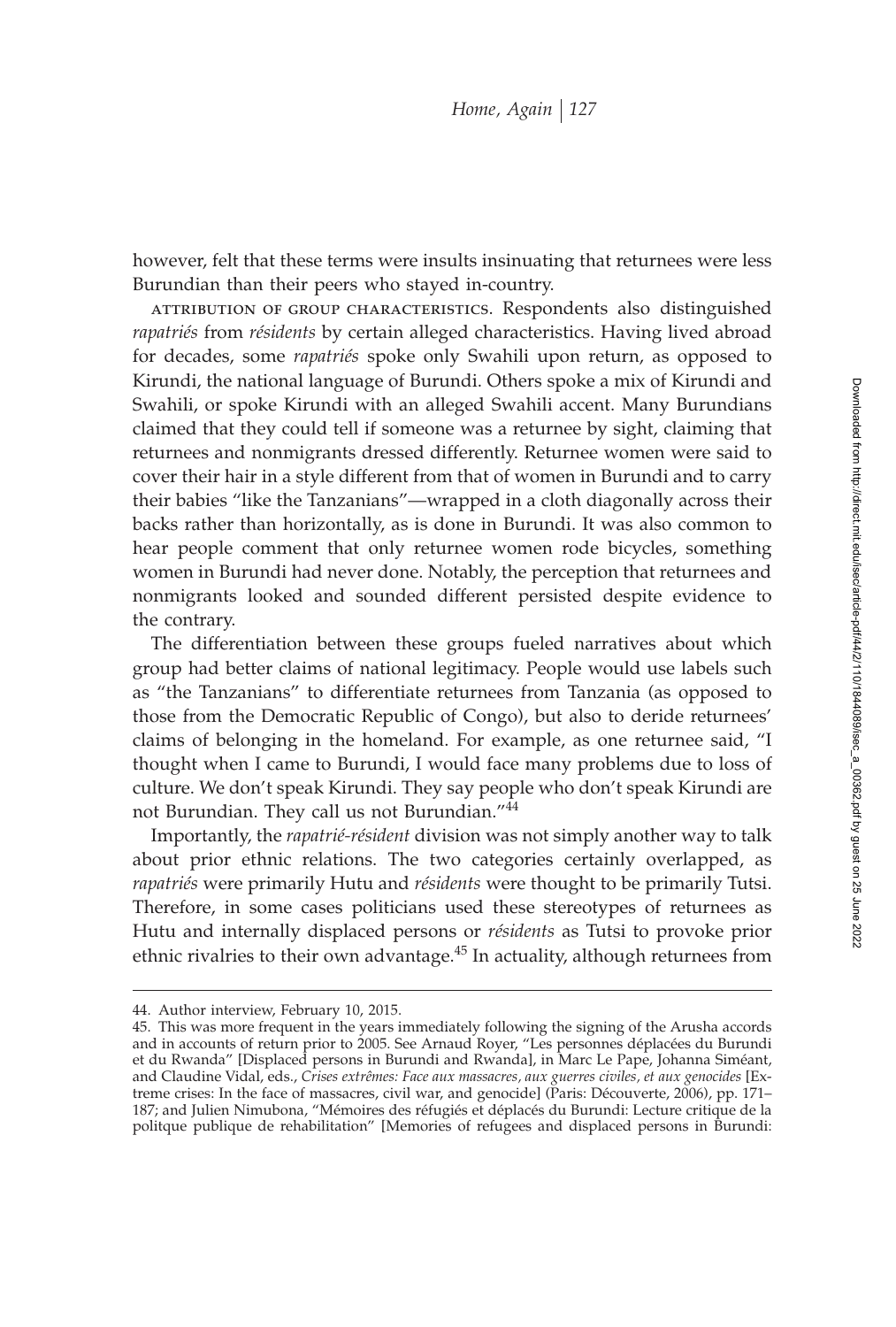however, felt that these terms were insults insinuating that returnees were less Burundian than their peers who stayed in-country.

attribution of group characteristics. Respondents also distinguished *rapatriés* from *résidents* by certain alleged characteristics. Having lived abroad for decades, some *rapatriés* spoke only Swahili upon return, as opposed to Kirundi, the national language of Burundi. Others spoke a mix of Kirundi and Swahili, or spoke Kirundi with an alleged Swahili accent. Many Burundians claimed that they could tell if someone was a returnee by sight, claiming that returnees and nonmigrants dressed differently. Returnee women were said to cover their hair in a style different from that of women in Burundi and to carry their babies "like the Tanzanians"—wrapped in a cloth diagonally across their backs rather than horizontally, as is done in Burundi. It was also common to hear people comment that only returnee women rode bicycles, something women in Burundi had never done. Notably, the perception that returnees and nonmigrants looked and sounded different persisted despite evidence to the contrary.

The differentiation between these groups fueled narratives about which group had better claims of national legitimacy. People would use labels such as "the Tanzanians" to differentiate returnees from Tanzania (as opposed to those from the Democratic Republic of Congo), but also to deride returnees' claims of belonging in the homeland. For example, as one returnee said, "I thought when I came to Burundi, I would face many problems due to loss of culture. We don't speak Kirundi. They say people who don't speak Kirundi are not Burundian. They call us not Burundian."<sup>44</sup>

Importantly, the *rapatrié-résident* division was not simply another way to talk about prior ethnic relations. The two categories certainly overlapped, as *rapatriés* were primarily Hutu and *résidents* were thought to be primarily Tutsi. Therefore, in some cases politicians used these stereotypes of returnees as Hutu and internally displaced persons or *résidents* as Tutsi to provoke prior ethnic rivalries to their own advantage.<sup>45</sup> In actuality, although returnees from

<sup>44.</sup> Author interview, February 10, 2015.

<sup>45.</sup> This was more frequent in the years immediately following the signing of the Arusha accords and in accounts of return prior to 2005. See Arnaud Royer, "Les personnes déplacées du Burundi et du Rwanda" [Displaced persons in Burundi and Rwanda], in Marc Le Pape, Johanna Siméant, and Claudine Vidal, eds., *Crises extrêmes: Face aux massacres, aux guerres civiles, et aux genocides* [Extreme crises: In the face of massacres, civil war, and genocide] (Paris: Découverte, 2006), pp. 171– 187; and Julien Nimubona, "Mémoires des réfugiés et déplacés du Burundi: Lecture critique de la politque publique de rehabilitation" [Memories of refugees and displaced persons in Burundi: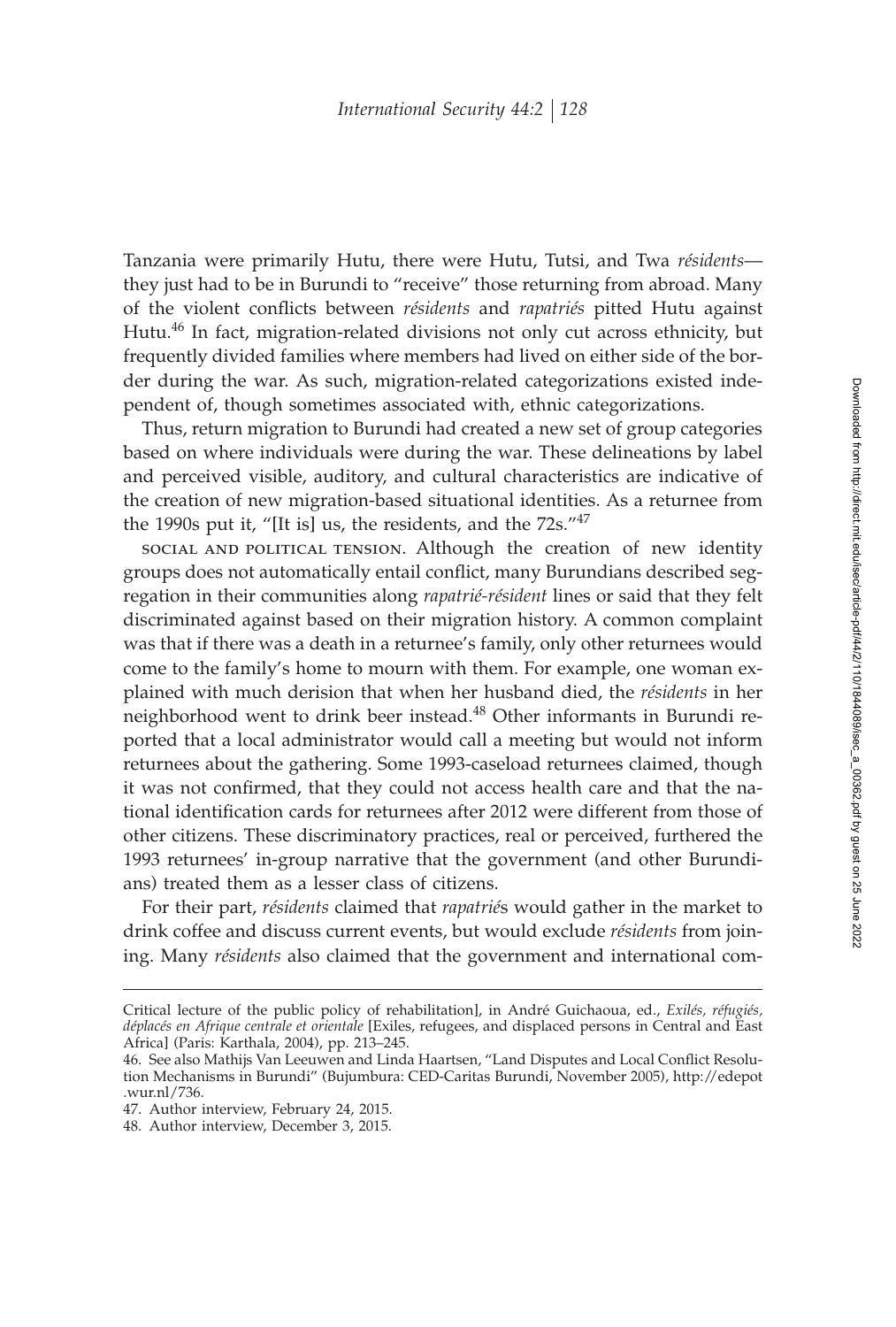Tanzania were primarily Hutu, there were Hutu, Tutsi, and Twa *résidents* they just had to be in Burundi to "receive" those returning from abroad. Many of the violent conflicts between *résidents* and *rapatriés* pitted Hutu against Hutu.<sup>46</sup> In fact, migration-related divisions not only cut across ethnicity, but frequently divided families where members had lived on either side of the border during the war. As such, migration-related categorizations existed independent of, though sometimes associated with, ethnic categorizations.

Thus, return migration to Burundi had created a new set of group categories based on where individuals were during the war. These delineations by label and perceived visible, auditory, and cultural characteristics are indicative of the creation of new migration-based situational identities. As a returnee from the 1990s put it, "[It is] us, the residents, and the 72s."<sup>47</sup>

social and political tension. Although the creation of new identity groups does not automatically entail conflict, many Burundians described segregation in their communities along *rapatrié-résident* lines or said that they felt discriminated against based on their migration history. A common complaint was that if there was a death in a returnee's family, only other returnees would come to the family's home to mourn with them. For example, one woman explained with much derision that when her husband died, the *résidents* in her neighborhood went to drink beer instead.<sup>48</sup> Other informants in Burundi reported that a local administrator would call a meeting but would not inform returnees about the gathering. Some 1993-caseload returnees claimed, though it was not confirmed, that they could not access health care and that the national identification cards for returnees after 2012 were different from those of other citizens. These discriminatory practices, real or perceived, furthered the 1993 returnees' in-group narrative that the government (and other Burundians) treated them as a lesser class of citizens.

For their part, *résidents* claimed that *rapatrié*s would gather in the market to drink coffee and discuss current events, but would exclude *résidents* from joining. Many *résidents* also claimed that the government and international com-

Critical lecture of the public policy of rehabilitation], in André Guichaoua, ed., *Exilés, réfugiés, déplacés en Afrique centrale et orientale* [Exiles, refugees, and displaced persons in Central and East Africa] (Paris: Karthala, 2004), pp. 213–245.

<sup>46.</sup> See also Mathijs Van Leeuwen and Linda Haartsen, "Land Disputes and Local Conflict Resolution Mechanisms in Burundi" (Bujumbura: CED-Caritas Burundi, November 2005), http://edepot .wur.nl/736.

<sup>47.</sup> Author interview, February 24, 2015.

<sup>48.</sup> Author interview, December 3, 2015.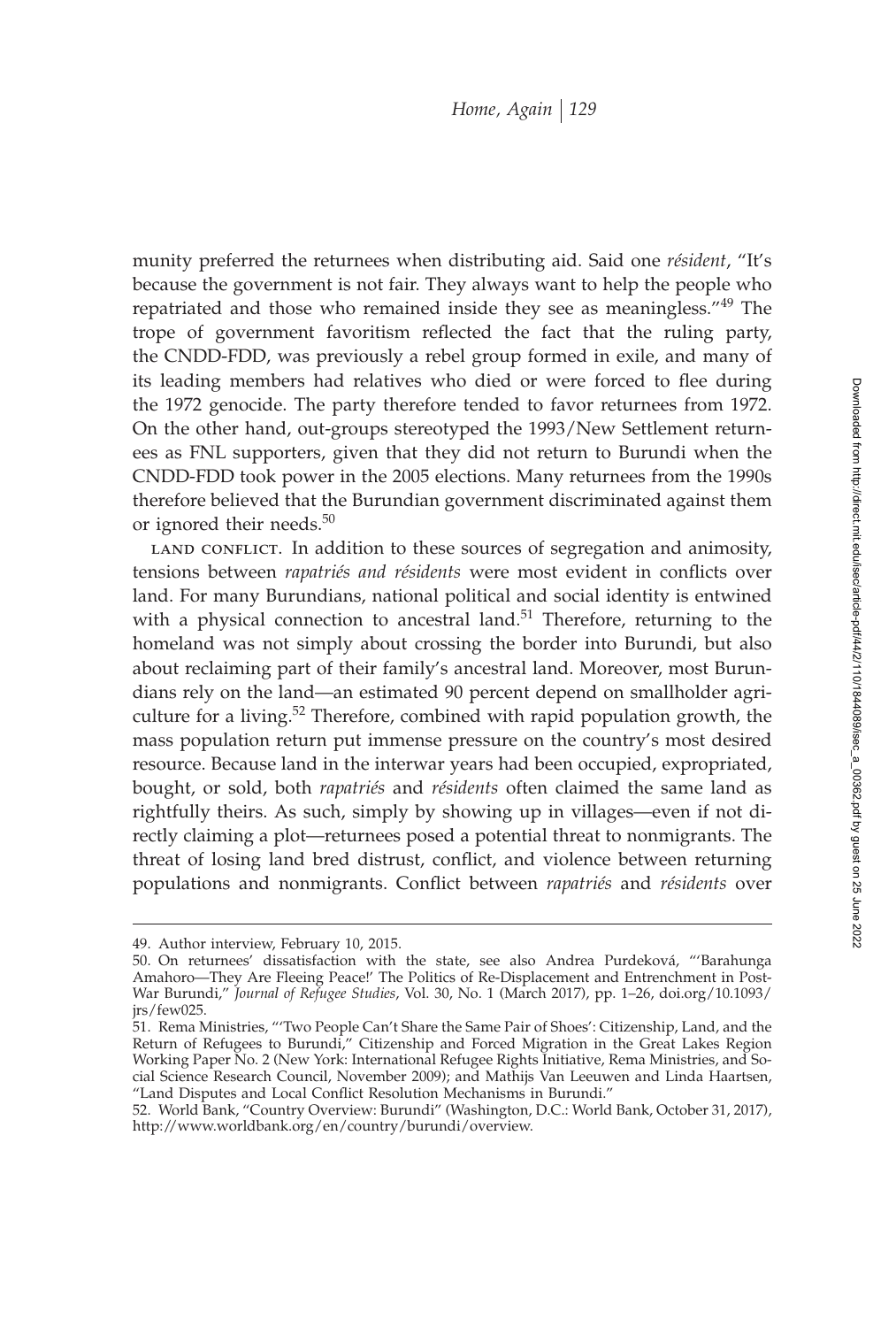munity preferred the returnees when distributing aid. Said one *résident*, "It's because the government is not fair. They always want to help the people who repatriated and those who remained inside they see as meaningless."<sup>49</sup> The trope of government favoritism reflected the fact that the ruling party, the CNDD-FDD, was previously a rebel group formed in exile, and many of its leading members had relatives who died or were forced to flee during the 1972 genocide. The party therefore tended to favor returnees from 1972. On the other hand, out-groups stereotyped the 1993/New Settlement returnees as FNL supporters, given that they did not return to Burundi when the CNDD-FDD took power in the 2005 elections. Many returnees from the 1990s therefore believed that the Burundian government discriminated against them or ignored their needs.<sup>50</sup>

LAND CONFLICT. In addition to these sources of segregation and animosity, tensions between *rapatriés and résidents* were most evident in conflicts over land. For many Burundians, national political and social identity is entwined with a physical connection to ancestral land.<sup>51</sup> Therefore, returning to the homeland was not simply about crossing the border into Burundi, but also about reclaiming part of their family's ancestral land. Moreover, most Burundians rely on the land—an estimated 90 percent depend on smallholder agriculture for a living.<sup>52</sup> Therefore, combined with rapid population growth, the mass population return put immense pressure on the country's most desired resource. Because land in the interwar years had been occupied, expropriated, bought, or sold, both *rapatriés* and *résidents* often claimed the same land as rightfully theirs. As such, simply by showing up in villages—even if not directly claiming a plot—returnees posed a potential threat to nonmigrants. The threat of losing land bred distrust, conflict, and violence between returning populations and nonmigrants. Conflict between *rapatriés* and *résidents* over

<sup>49.</sup> Author interview, February 10, 2015.

<sup>50.</sup> On returnees' dissatisfaction with the state, see also Andrea Purdeková, "'Barahunga Amahoro—They Are Fleeing Peace!' The Politics of Re-Displacement and Entrenchment in Post-War Burundi," *Journal of Refugee Studies*, Vol. 30, No. 1 (March 2017), pp. 1–26, doi.org/10.1093/ jrs/few025.

<sup>51.</sup> Rema Ministries, "'Two People Can't Share the Same Pair of Shoes': Citizenship, Land, and the Return of Refugees to Burundi," Citizenship and Forced Migration in the Great Lakes Region Working Paper No. 2 (New York: International Refugee Rights Initiative, Rema Ministries, and Social Science Research Council, November 2009); and Mathijs Van Leeuwen and Linda Haartsen, "Land Disputes and Local Conflict Resolution Mechanisms in Burundi."

<sup>52.</sup> World Bank, "Country Overview: Burundi" (Washington, D.C.: World Bank, October 31, 2017), http://www.worldbank.org/en/country/burundi/overview.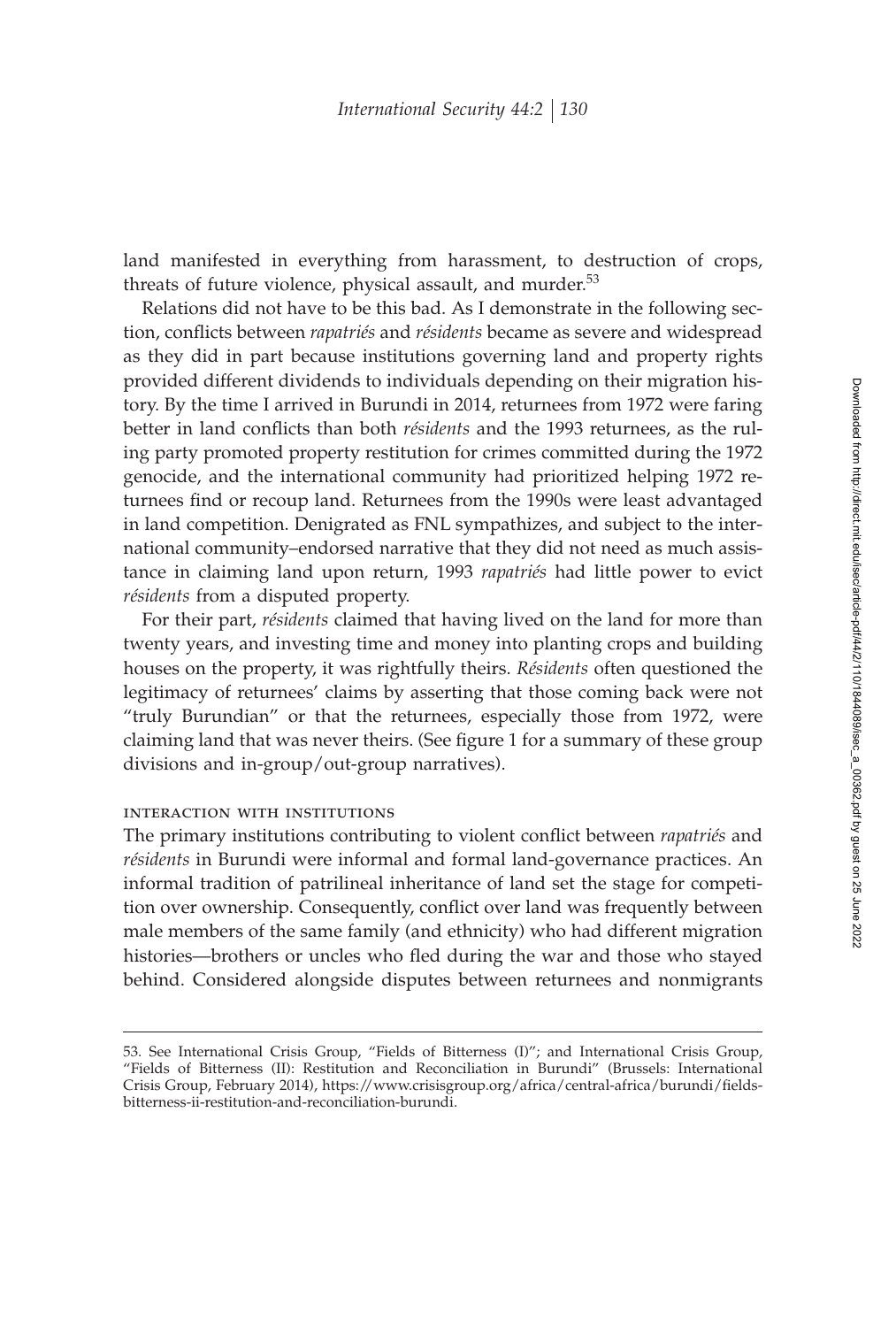land manifested in everything from harassment, to destruction of crops, threats of future violence, physical assault, and murder. $53$ 

Relations did not have to be this bad. As I demonstrate in the following section, conflicts between *rapatriés* and *résidents* became as severe and widespread as they did in part because institutions governing land and property rights provided different dividends to individuals depending on their migration history. By the time I arrived in Burundi in 2014, returnees from 1972 were faring better in land conflicts than both *résidents* and the 1993 returnees, as the ruling party promoted property restitution for crimes committed during the 1972 genocide, and the international community had prioritized helping 1972 returnees find or recoup land. Returnees from the 1990s were least advantaged in land competition. Denigrated as FNL sympathizes, and subject to the international community–endorsed narrative that they did not need as much assistance in claiming land upon return, 1993 *rapatriés* had little power to evict *résidents* from a disputed property.

For their part, *résidents* claimed that having lived on the land for more than twenty years, and investing time and money into planting crops and building houses on the property, it was rightfully theirs. *Résidents* often questioned the legitimacy of returnees' claims by asserting that those coming back were not "truly Burundian" or that the returnees, especially those from 1972, were claiming land that was never theirs. (See figure 1 for a summary of these group divisions and in-group/out-group narratives).

### interaction with institutions

The primary institutions contributing to violent conflict between *rapatriés* and *résidents* in Burundi were informal and formal land-governance practices. An informal tradition of patrilineal inheritance of land set the stage for competition over ownership. Consequently, conflict over land was frequently between male members of the same family (and ethnicity) who had different migration histories—brothers or uncles who fled during the war and those who stayed behind. Considered alongside disputes between returnees and nonmigrants

<sup>53.</sup> See International Crisis Group, "Fields of Bitterness (I)"; and International Crisis Group, "Fields of Bitterness (II): Restitution and Reconciliation in Burundi" (Brussels: International Crisis Group, February 2014), https://www.crisisgroup.org/africa/central-africa/burundi/fieldsbitterness-ii-restitution-and-reconciliation-burundi.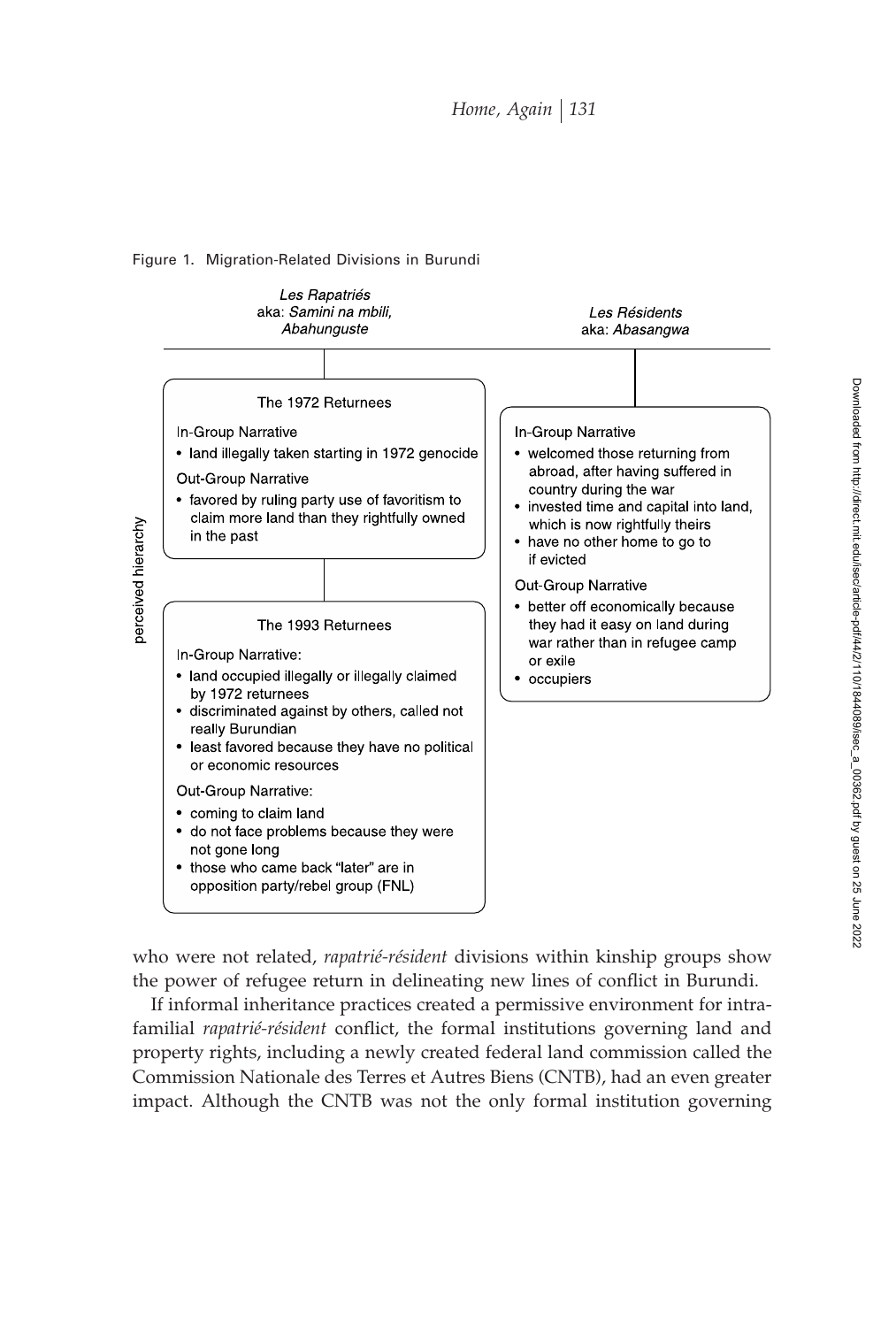### Figure 1. Migration-Related Divisions in Burundi



who were not related, *rapatrié-résident* divisions within kinship groups show the power of refugee return in delineating new lines of conflict in Burundi.

If informal inheritance practices created a permissive environment for intrafamilial *rapatrié-résident* conflict, the formal institutions governing land and property rights, including a newly created federal land commission called the Commission Nationale des Terres et Autres Biens (CNTB), had an even greater impact. Although the CNTB was not the only formal institution governing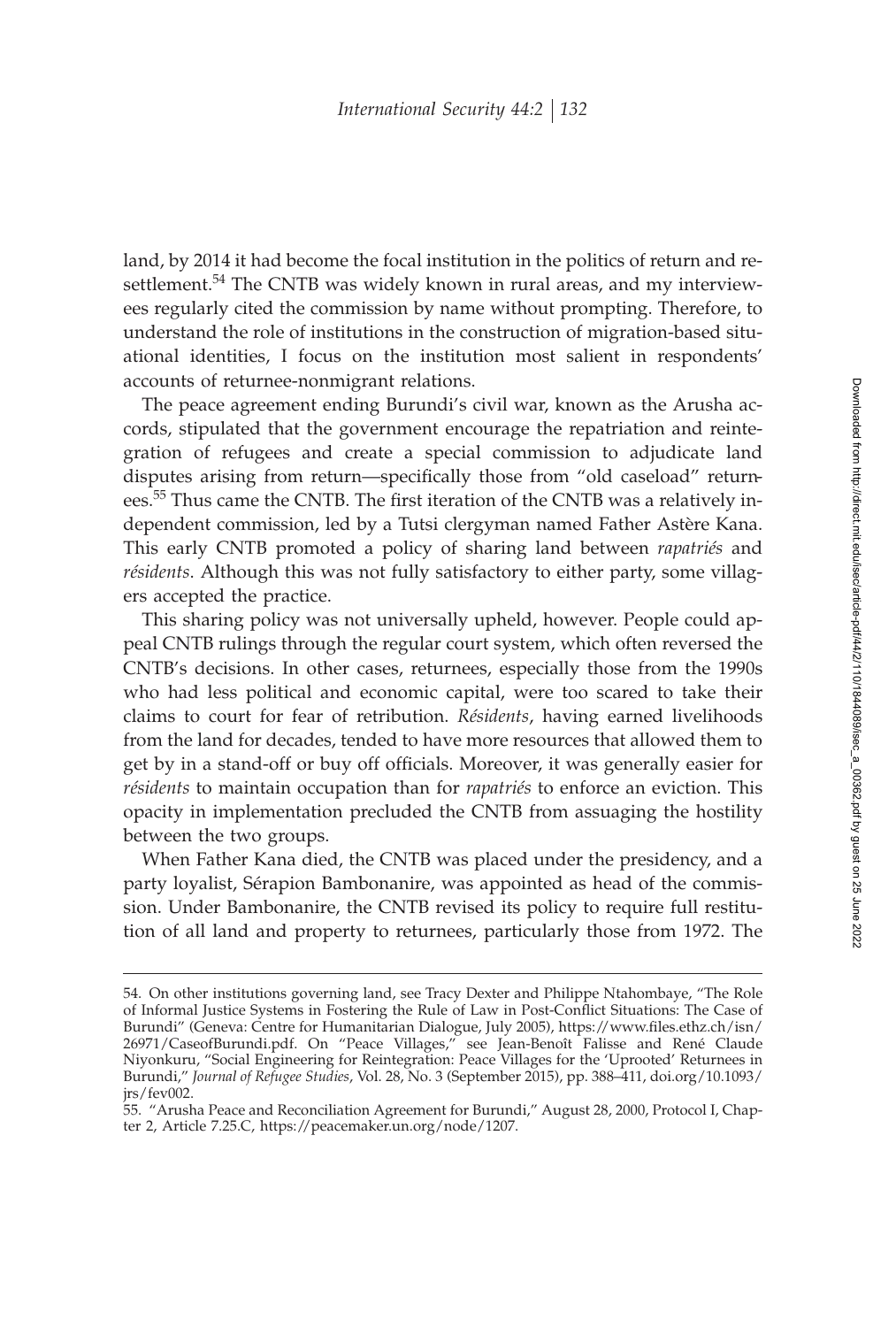land, by 2014 it had become the focal institution in the politics of return and resettlement.<sup>54</sup> The CNTB was widely known in rural areas, and my interviewees regularly cited the commission by name without prompting. Therefore, to understand the role of institutions in the construction of migration-based situational identities, I focus on the institution most salient in respondents' accounts of returnee-nonmigrant relations.

The peace agreement ending Burundi's civil war, known as the Arusha accords, stipulated that the government encourage the repatriation and reintegration of refugees and create a special commission to adjudicate land disputes arising from return—specifically those from "old caseload" returnees.<sup>55</sup> Thus came the CNTB. The first iteration of the CNTB was a relatively independent commission, led by a Tutsi clergyman named Father Astère Kana. This early CNTB promoted a policy of sharing land between *rapatriés* and *résidents*. Although this was not fully satisfactory to either party, some villagers accepted the practice.

This sharing policy was not universally upheld, however. People could appeal CNTB rulings through the regular court system, which often reversed the CNTB's decisions. In other cases, returnees, especially those from the 1990s who had less political and economic capital, were too scared to take their claims to court for fear of retribution. *Résidents*, having earned livelihoods from the land for decades, tended to have more resources that allowed them to get by in a stand-off or buy off officials. Moreover, it was generally easier for *résidents* to maintain occupation than for *rapatriés* to enforce an eviction. This opacity in implementation precluded the CNTB from assuaging the hostility between the two groups.

When Father Kana died, the CNTB was placed under the presidency, and a party loyalist, Sérapion Bambonanire, was appointed as head of the commission. Under Bambonanire, the CNTB revised its policy to require full restitution of all land and property to returnees, particularly those from 1972. The

<sup>54.</sup> On other institutions governing land, see Tracy Dexter and Philippe Ntahombaye, "The Role of Informal Justice Systems in Fostering the Rule of Law in Post-Conflict Situations: The Case of Burundi" (Geneva: Centre for Humanitarian Dialogue, July 2005), https://www.files.ethz.ch/isn/ 26971/CaseofBurundi.pdf. On "Peace Villages," see Jean-Benoît Falisse and René Claude Niyonkuru, "Social Engineering for Reintegration: Peace Villages for the 'Uprooted' Returnees in Burundi," *Journal of Refugee Studies*, Vol. 28, No. 3 (September 2015), pp. 388–411, doi.org/10.1093/ jrs/fev002.

<sup>55. &</sup>quot;Arusha Peace and Reconciliation Agreement for Burundi," August 28, 2000, Protocol I, Chapter 2, Article 7.25.C, https://peacemaker.un.org/node/1207.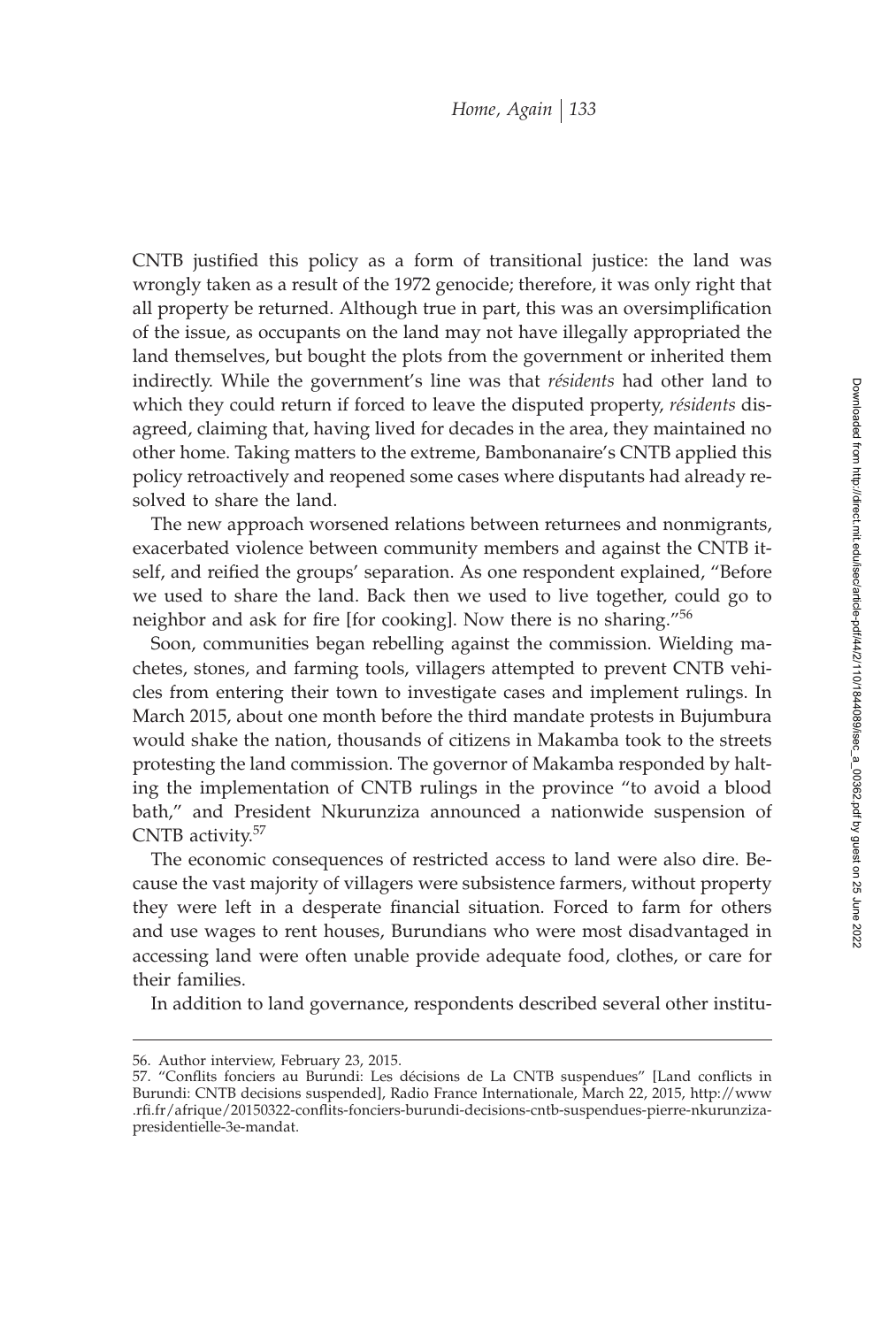CNTB justified this policy as a form of transitional justice: the land was wrongly taken as a result of the 1972 genocide; therefore, it was only right that all property be returned. Although true in part, this was an oversimplification of the issue, as occupants on the land may not have illegally appropriated the land themselves, but bought the plots from the government or inherited them indirectly. While the government's line was that *résidents* had other land to which they could return if forced to leave the disputed property, *résidents* disagreed, claiming that, having lived for decades in the area, they maintained no other home. Taking matters to the extreme, Bambonanaire's CNTB applied this policy retroactively and reopened some cases where disputants had already resolved to share the land.

The new approach worsened relations between returnees and nonmigrants, exacerbated violence between community members and against the CNTB itself, and reified the groups' separation. As one respondent explained, "Before we used to share the land. Back then we used to live together, could go to neighbor and ask for fire [for cooking]. Now there is no sharing." $56$ 

Soon, communities began rebelling against the commission. Wielding machetes, stones, and farming tools, villagers attempted to prevent CNTB vehicles from entering their town to investigate cases and implement rulings. In March 2015, about one month before the third mandate protests in Bujumbura would shake the nation, thousands of citizens in Makamba took to the streets protesting the land commission. The governor of Makamba responded by halting the implementation of CNTB rulings in the province "to avoid a blood bath," and President Nkurunziza announced a nationwide suspension of CNTB activity.<sup>57</sup>

The economic consequences of restricted access to land were also dire. Because the vast majority of villagers were subsistence farmers, without property they were left in a desperate financial situation. Forced to farm for others and use wages to rent houses, Burundians who were most disadvantaged in accessing land were often unable provide adequate food, clothes, or care for their families.

In addition to land governance, respondents described several other institu-

<sup>56.</sup> Author interview, February 23, 2015.

<sup>57. &</sup>quot;Conflits fonciers au Burundi: Les décisions de La CNTB suspendues" [Land conflicts in Burundi: CNTB decisions suspended], Radio France Internationale, March 22, 2015, http://www .rfi.fr/afrique/20150322-conflits-fonciers-burundi-decisions-cntb-suspendues-pierre-nkurunzizapresidentielle-3e-mandat.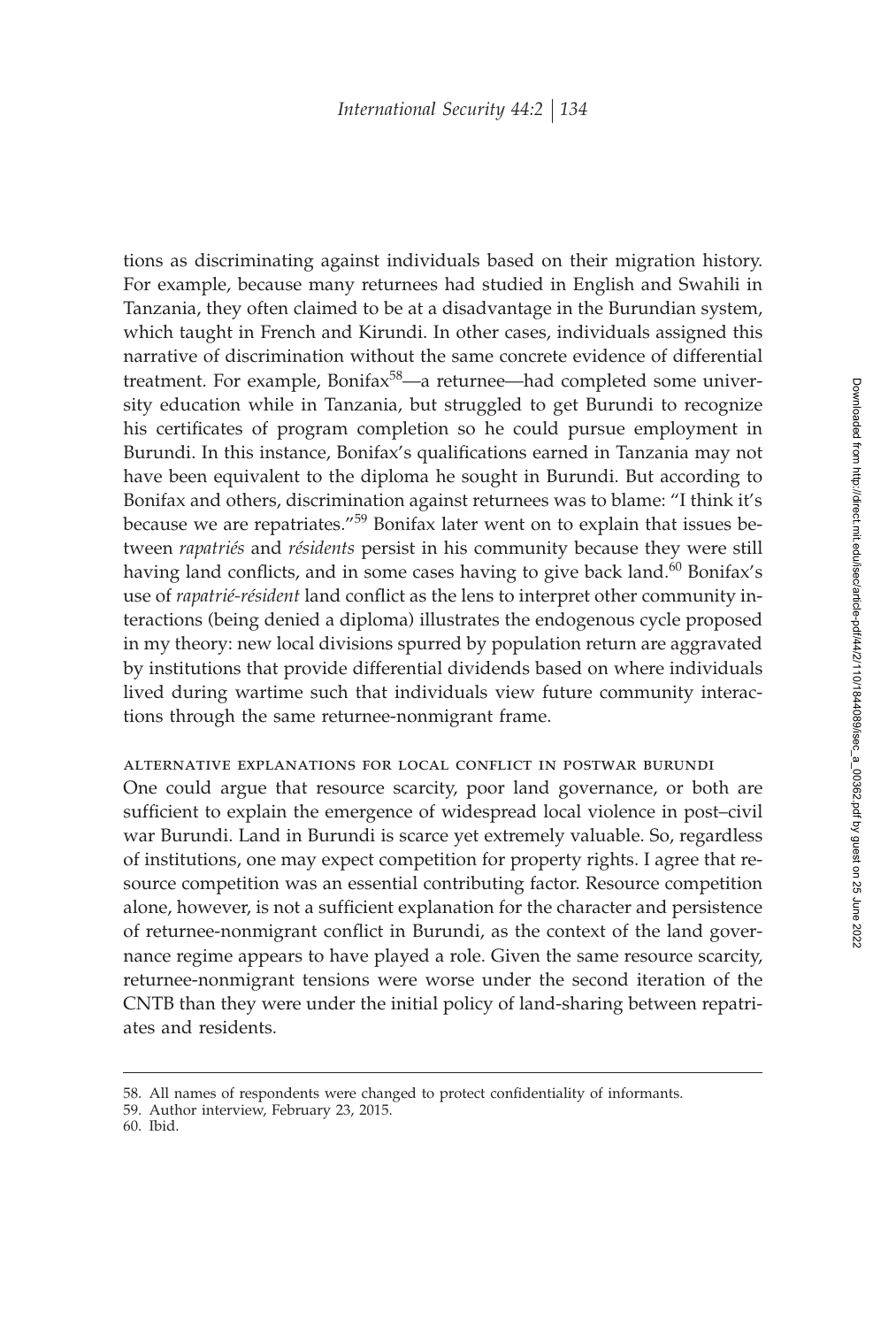tions as discriminating against individuals based on their migration history. For example, because many returnees had studied in English and Swahili in Tanzania, they often claimed to be at a disadvantage in the Burundian system, which taught in French and Kirundi. In other cases, individuals assigned this narrative of discrimination without the same concrete evidence of differential treatment. For example, Bonifax<sup>58</sup>—a returnee—had completed some university education while in Tanzania, but struggled to get Burundi to recognize his certificates of program completion so he could pursue employment in Burundi. In this instance, Bonifax's qualifications earned in Tanzania may not have been equivalent to the diploma he sought in Burundi. But according to Bonifax and others, discrimination against returnees was to blame: "I think it's because we are repatriates."<sup>59</sup> Bonifax later went on to explain that issues between *rapatriés* and *résidents* persist in his community because they were still having land conflicts, and in some cases having to give back land.<sup>60</sup> Bonifax's use of *rapatrié-résident* land conflict as the lens to interpret other community interactions (being denied a diploma) illustrates the endogenous cycle proposed in my theory: new local divisions spurred by population return are aggravated by institutions that provide differential dividends based on where individuals lived during wartime such that individuals view future community interactions through the same returnee-nonmigrant frame.

### ALTERNATIVE EXPLANATIONS FOR LOCAL CONFLICT IN POSTWAR BURUNDI

One could argue that resource scarcity, poor land governance, or both are sufficient to explain the emergence of widespread local violence in post-civil war Burundi. Land in Burundi is scarce yet extremely valuable. So, regardless of institutions, one may expect competition for property rights. I agree that resource competition was an essential contributing factor. Resource competition alone, however, is not a sufficient explanation for the character and persistence of returnee-nonmigrant conflict in Burundi, as the context of the land governance regime appears to have played a role. Given the same resource scarcity, returnee-nonmigrant tensions were worse under the second iteration of the CNTB than they were under the initial policy of land-sharing between repatriates and residents.

60. Ibid.

<sup>58.</sup> All names of respondents were changed to protect confidentiality of informants.

<sup>59.</sup> Author interview, February 23, 2015.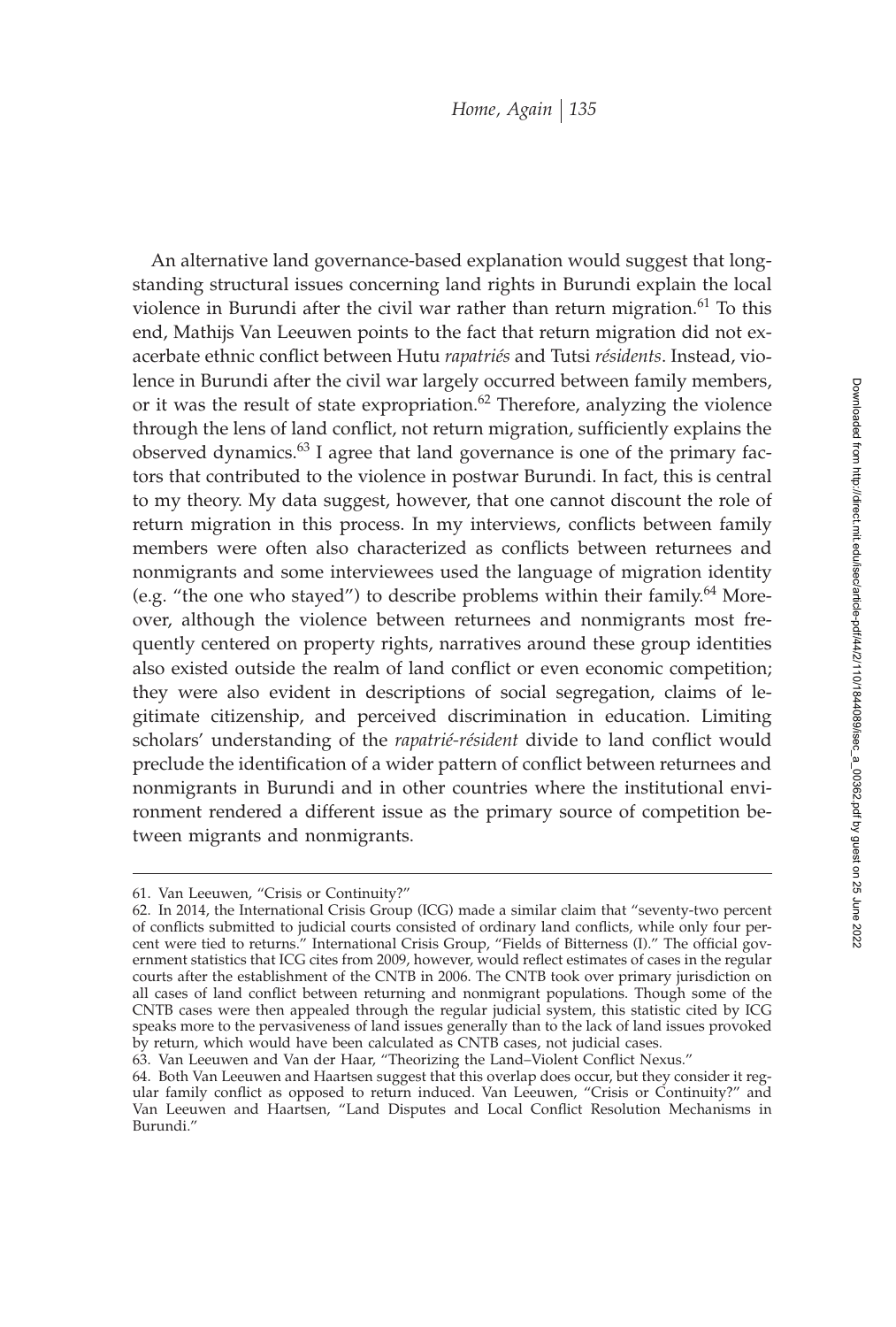An alternative land governance-based explanation would suggest that longstanding structural issues concerning land rights in Burundi explain the local violence in Burundi after the civil war rather than return migration.<sup>61</sup> To this end, Mathijs Van Leeuwen points to the fact that return migration did not exacerbate ethnic conflict between Hutu *rapatriés* and Tutsi *résidents*. Instead, violence in Burundi after the civil war largely occurred between family members, or it was the result of state expropriation. $62$  Therefore, analyzing the violence through the lens of land conflict, not return migration, sufficiently explains the observed dynamics.<sup>63</sup> I agree that land governance is one of the primary factors that contributed to the violence in postwar Burundi. In fact, this is central to my theory. My data suggest, however, that one cannot discount the role of return migration in this process. In my interviews, conflicts between family members were often also characterized as conflicts between returnees and nonmigrants and some interviewees used the language of migration identity (e.g. "the one who stayed") to describe problems within their family.<sup>64</sup> Moreover, although the violence between returnees and nonmigrants most frequently centered on property rights, narratives around these group identities also existed outside the realm of land conflict or even economic competition; they were also evident in descriptions of social segregation, claims of legitimate citizenship, and perceived discrimination in education. Limiting scholars' understanding of the *rapatrié-résident* divide to land conflict would preclude the identification of a wider pattern of conflict between returnees and nonmigrants in Burundi and in other countries where the institutional environment rendered a different issue as the primary source of competition between migrants and nonmigrants.

<sup>61.</sup> Van Leeuwen, "Crisis or Continuity?"

<sup>62.</sup> In 2014, the International Crisis Group (ICG) made a similar claim that "seventy-two percent of conflicts submitted to judicial courts consisted of ordinary land conflicts, while only four percent were tied to returns." International Crisis Group, "Fields of Bitterness (I)." The official government statistics that ICG cites from 2009, however, would reflect estimates of cases in the regular courts after the establishment of the CNTB in 2006. The CNTB took over primary jurisdiction on all cases of land conflict between returning and nonmigrant populations. Though some of the CNTB cases were then appealed through the regular judicial system, this statistic cited by ICG speaks more to the pervasiveness of land issues generally than to the lack of land issues provoked by return, which would have been calculated as CNTB cases, not judicial cases.

<sup>63.</sup> Van Leeuwen and Van der Haar, "Theorizing the Land-Violent Conflict Nexus."

<sup>64.</sup> Both Van Leeuwen and Haartsen suggest that this overlap does occur, but they consider it regular family conflict as opposed to return induced. Van Leeuwen, "Crisis or Continuity?" and Van Leeuwen and Haartsen, "Land Disputes and Local Conflict Resolution Mechanisms in Burundi."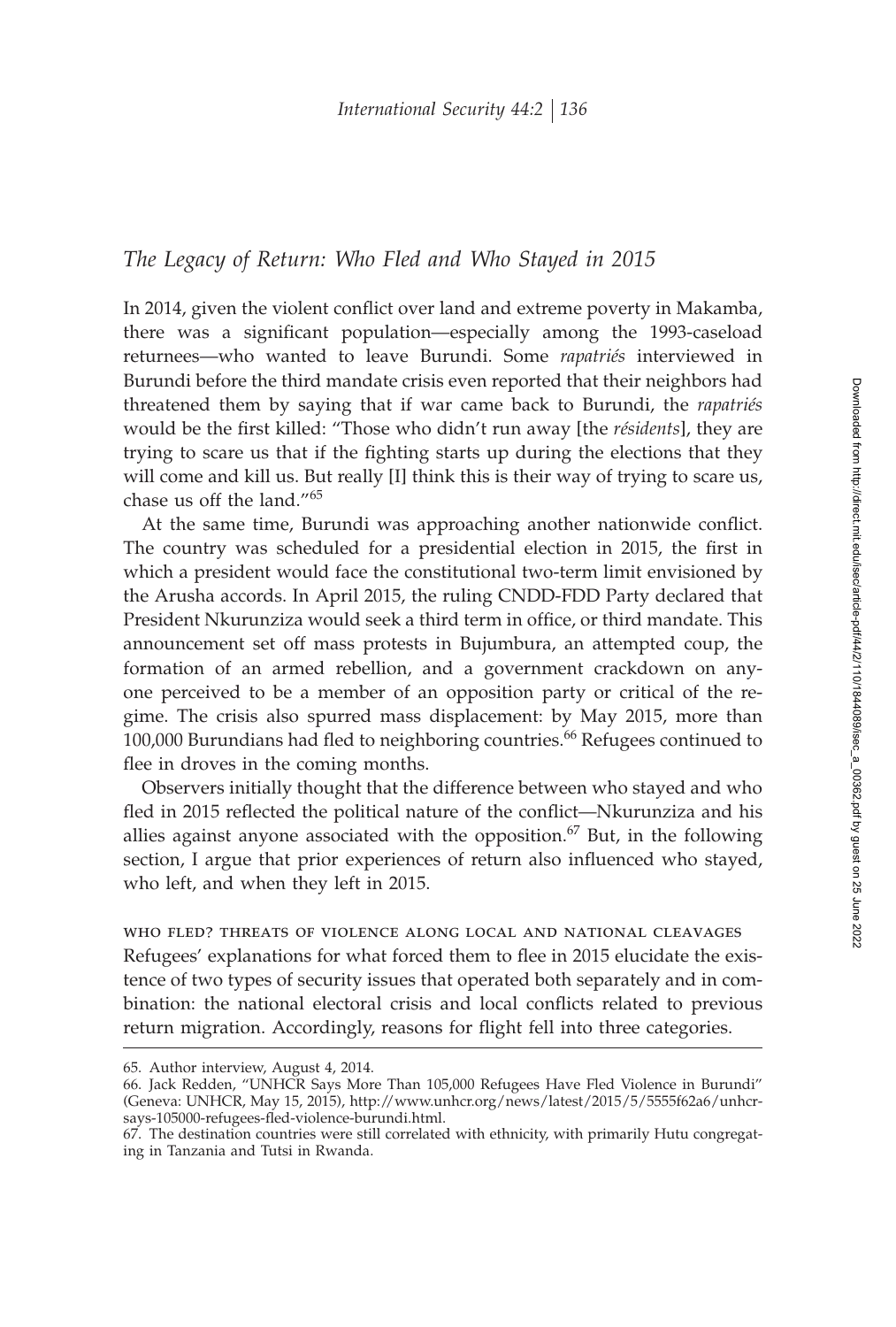# *The Legacy of Return: Who Fled and Who Stayed in 2015*

In 2014, given the violent conflict over land and extreme poverty in Makamba, there was a significant population—especially among the 1993-caseload returnees—who wanted to leave Burundi. Some *rapatriés* interviewed in Burundi before the third mandate crisis even reported that their neighbors had threatened them by saying that if war came back to Burundi, the *rapatriés* would be the first killed: "Those who didn't run away [the *résidents*], they are trying to scare us that if the fighting starts up during the elections that they will come and kill us. But really [I] think this is their way of trying to scare us, chase us off the land."<sup>65</sup>

At the same time, Burundi was approaching another nationwide conflict. The country was scheduled for a presidential election in 2015, the first in which a president would face the constitutional two-term limit envisioned by the Arusha accords. In April 2015, the ruling CNDD-FDD Party declared that President Nkurunziza would seek a third term in office, or third mandate. This announcement set off mass protests in Bujumbura, an attempted coup, the formation of an armed rebellion, and a government crackdown on anyone perceived to be a member of an opposition party or critical of the regime. The crisis also spurred mass displacement: by May 2015, more than 100,000 Burundians had fled to neighboring countries. $66$  Refugees continued to flee in droves in the coming months.

Observers initially thought that the difference between who stayed and who fled in 2015 reflected the political nature of the conflict—Nkurunziza and his allies against anyone associated with the opposition.<sup>67</sup> But, in the following section, I argue that prior experiences of return also influenced who stayed, who left, and when they left in 2015.

WHO FLED? THREATS OF VIOLENCE ALONG LOCAL AND NATIONAL CLEAVAGES Refugees' explanations for what forced them to flee in 2015 elucidate the existence of two types of security issues that operated both separately and in combination: the national electoral crisis and local conflicts related to previous return migration. Accordingly, reasons for flight fell into three categories.

<sup>65.</sup> Author interview, August 4, 2014.

<sup>66.</sup> Jack Redden, "UNHCR Says More Than 105,000 Refugees Have Fled Violence in Burundi" (Geneva: UNHCR, May 15, 2015), http://www.unhcr.org/news/latest/2015/5/5555f62a6/unhcrsays-105000-refugees-fled-violence-burundi.html.

<sup>67.</sup> The destination countries were still correlated with ethnicity, with primarily Hutu congregating in Tanzania and Tutsi in Rwanda.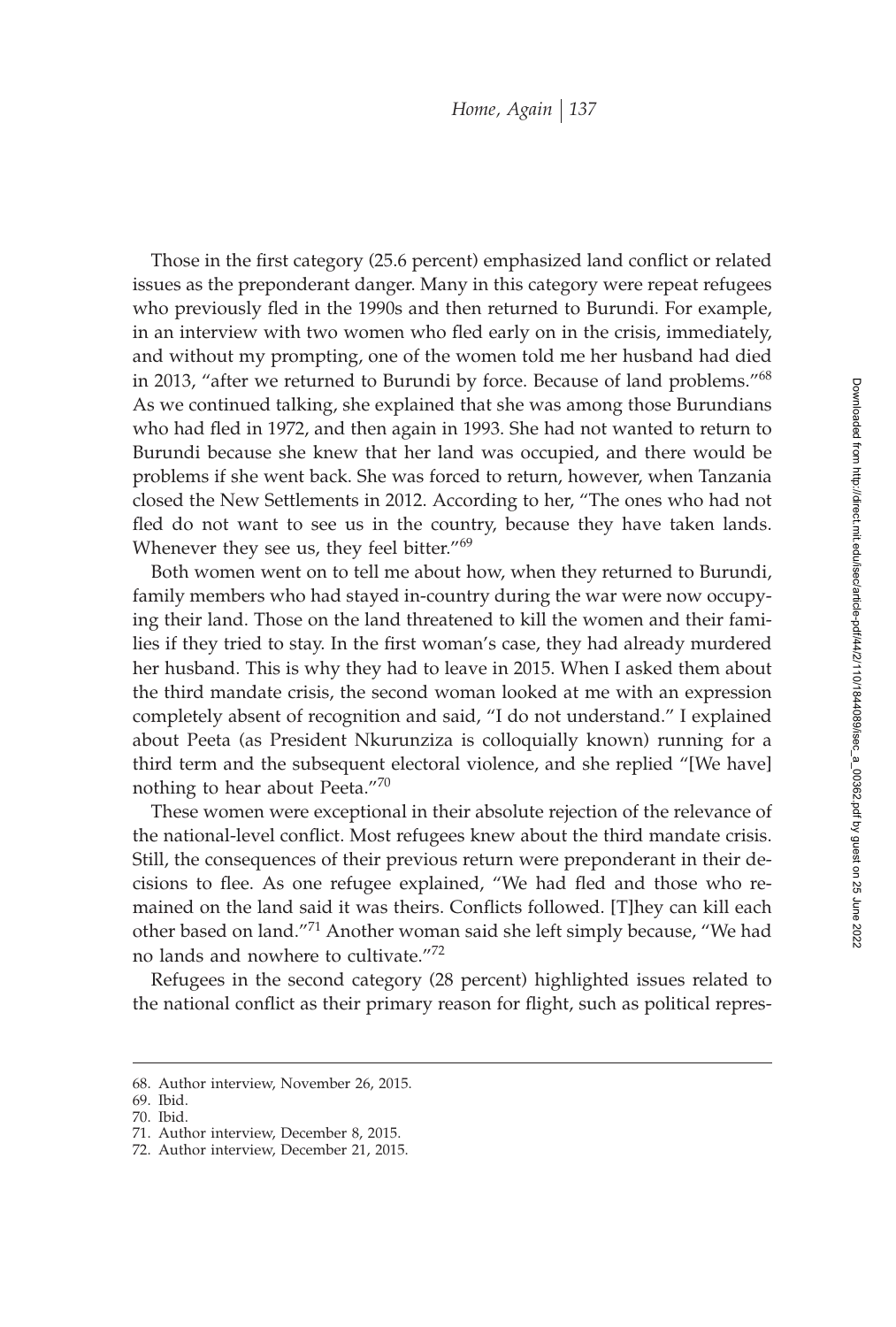Those in the first category (25.6 percent) emphasized land conflict or related issues as the preponderant danger. Many in this category were repeat refugees who previously fled in the 1990s and then returned to Burundi. For example, in an interview with two women who fled early on in the crisis, immediately, and without my prompting, one of the women told me her husband had died in 2013, "after we returned to Burundi by force. Because of land problems."<sup>68</sup> As we continued talking, she explained that she was among those Burundians who had fled in 1972, and then again in 1993. She had not wanted to return to Burundi because she knew that her land was occupied, and there would be problems if she went back. She was forced to return, however, when Tanzania closed the New Settlements in 2012. According to her, "The ones who had not fled do not want to see us in the country, because they have taken lands. Whenever they see us, they feel bitter."<sup>69</sup>

Both women went on to tell me about how, when they returned to Burundi, family members who had stayed in-country during the war were now occupying their land. Those on the land threatened to kill the women and their families if they tried to stay. In the first woman's case, they had already murdered her husband. This is why they had to leave in 2015. When I asked them about the third mandate crisis, the second woman looked at me with an expression completely absent of recognition and said, "I do not understand." I explained about Peeta (as President Nkurunziza is colloquially known) running for a third term and the subsequent electoral violence, and she replied "[We have] nothing to hear about Peeta."<sup>70</sup>

These women were exceptional in their absolute rejection of the relevance of the national-level conflict. Most refugees knew about the third mandate crisis. Still, the consequences of their previous return were preponderant in their decisions to flee. As one refugee explained, "We had fled and those who remained on the land said it was theirs. Conflicts followed. [T]hey can kill each other based on land."<sup>71</sup> Another woman said she left simply because, "We had no lands and nowhere to cultivate."<sup>72</sup>

Refugees in the second category (28 percent) highlighted issues related to the national conflict as their primary reason for flight, such as political repres-

<sup>68.</sup> Author interview, November 26, 2015.

<sup>69.</sup> Ibid.

<sup>70.</sup> Ibid.

<sup>71.</sup> Author interview, December 8, 2015.

<sup>72.</sup> Author interview, December 21, 2015.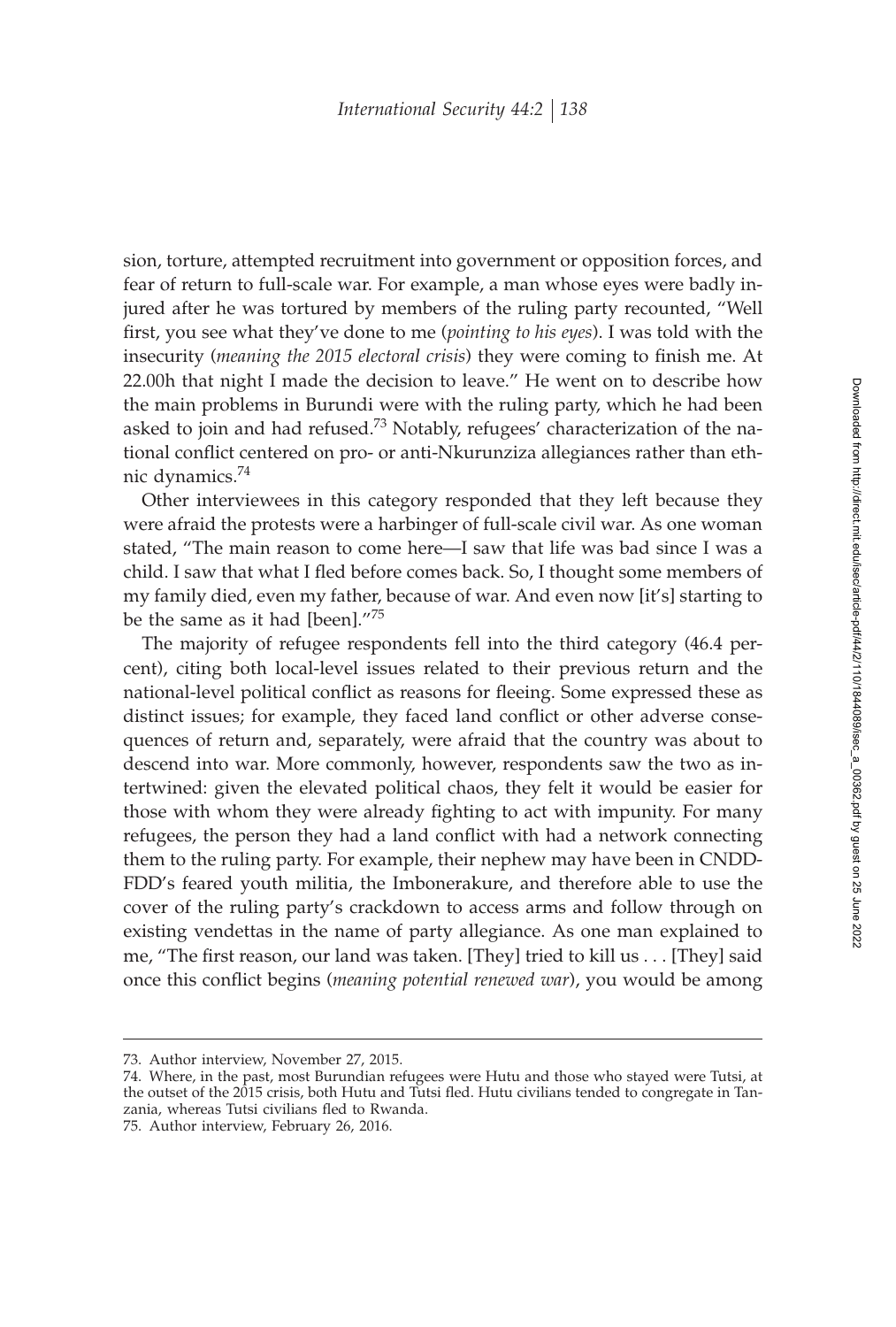sion, torture, attempted recruitment into government or opposition forces, and fear of return to full-scale war. For example, a man whose eyes were badly injured after he was tortured by members of the ruling party recounted, "Well first, you see what they've done to me (*pointing to his eyes*). I was told with the insecurity (*meaning the 2015 electoral crisis*) they were coming to finish me. At 22.00h that night I made the decision to leave." He went on to describe how the main problems in Burundi were with the ruling party, which he had been asked to join and had refused.<sup>73</sup> Notably, refugees' characterization of the national conflict centered on pro- or anti-Nkurunziza allegiances rather than ethnic dynamics.<sup>74</sup>

Other interviewees in this category responded that they left because they were afraid the protests were a harbinger of full-scale civil war. As one woman stated, "The main reason to come here—I saw that life was bad since I was a child. I saw that what I fled before comes back. So, I thought some members of my family died, even my father, because of war. And even now [it's] starting to be the same as it had [been]."<sup>75</sup>

The majority of refugee respondents fell into the third category (46.4 percent), citing both local-level issues related to their previous return and the national-level political conflict as reasons for fleeing. Some expressed these as distinct issues; for example, they faced land conflict or other adverse consequences of return and, separately, were afraid that the country was about to descend into war. More commonly, however, respondents saw the two as intertwined: given the elevated political chaos, they felt it would be easier for those with whom they were already fighting to act with impunity. For many refugees, the person they had a land conflict with had a network connecting them to the ruling party. For example, their nephew may have been in CNDD-FDD's feared youth militia, the Imbonerakure, and therefore able to use the cover of the ruling party's crackdown to access arms and follow through on existing vendettas in the name of party allegiance. As one man explained to me, "The first reason, our land was taken. [They] tried to kill us... [They] said once this conflict begins (*meaning potential renewed war*), you would be among

<sup>73.</sup> Author interview, November 27, 2015.

<sup>74.</sup> Where, in the past, most Burundian refugees were Hutu and those who stayed were Tutsi, at the outset of the 2015 crisis, both Hutu and Tutsi fled. Hutu civilians tended to congregate in Tanzania, whereas Tutsi civilians fled to Rwanda.

<sup>75.</sup> Author interview, February 26, 2016.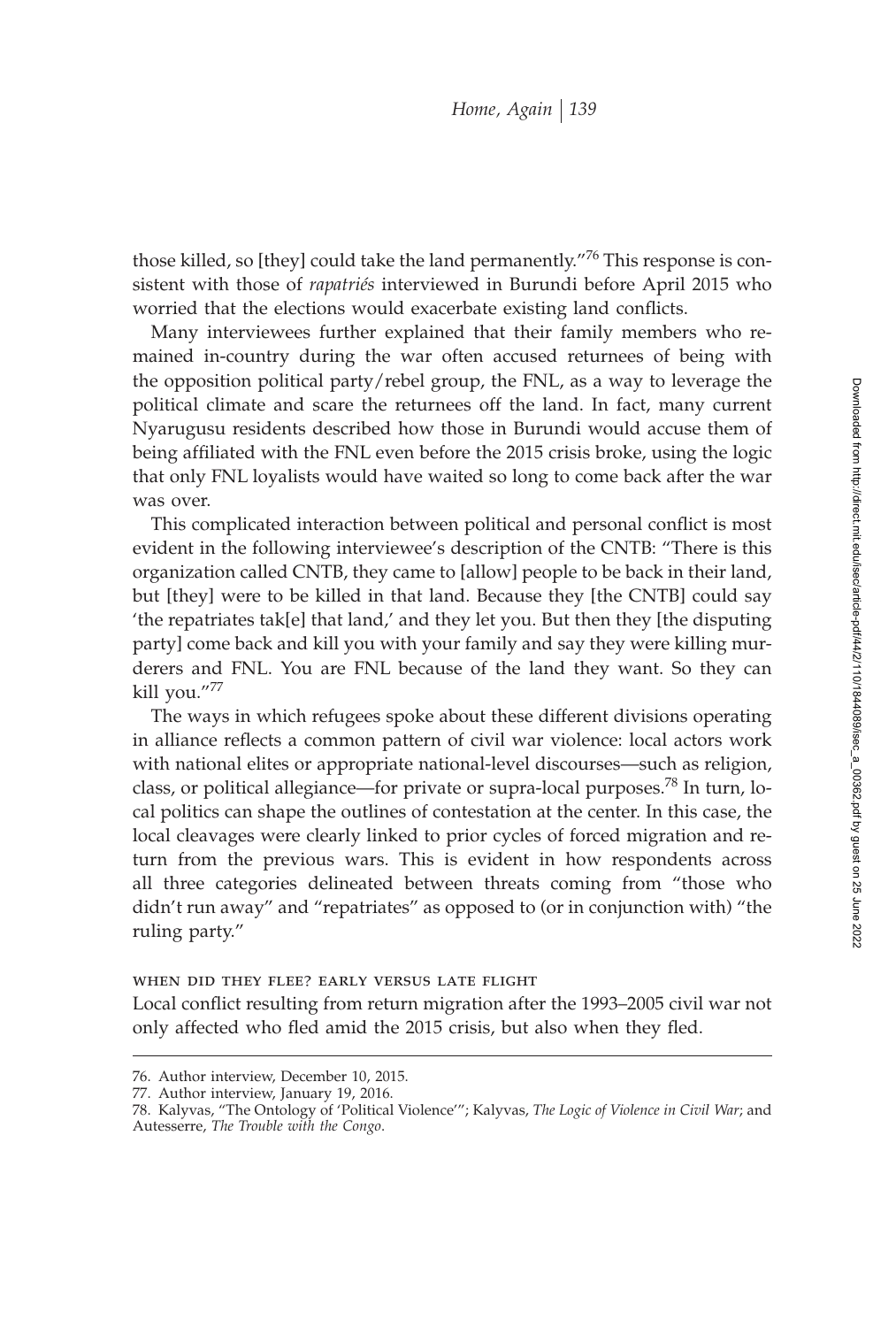those killed, so [they] could take the land permanently.<sup>"76</sup> This response is consistent with those of *rapatriés* interviewed in Burundi before April 2015 who worried that the elections would exacerbate existing land conflicts.

Many interviewees further explained that their family members who remained in-country during the war often accused returnees of being with the opposition political party/rebel group, the FNL, as a way to leverage the political climate and scare the returnees off the land. In fact, many current Nyarugusu residents described how those in Burundi would accuse them of being affiliated with the FNL even before the 2015 crisis broke, using the logic that only FNL loyalists would have waited so long to come back after the war was over.

This complicated interaction between political and personal conflict is most evident in the following interviewee's description of the CNTB: "There is this organization called CNTB, they came to [allow] people to be back in their land, but [they] were to be killed in that land. Because they [the CNTB] could say 'the repatriates tak[e] that land,' and they let you. But then they [the disputing party] come back and kill you with your family and say they were killing murderers and FNL. You are FNL because of the land they want. So they can kill you."<sup>77</sup>

The ways in which refugees spoke about these different divisions operating in alliance reflects a common pattern of civil war violence: local actors work with national elites or appropriate national-level discourses—such as religion, class, or political allegiance—for private or supra-local purposes.<sup>78</sup> In turn, local politics can shape the outlines of contestation at the center. In this case, the local cleavages were clearly linked to prior cycles of forced migration and return from the previous wars. This is evident in how respondents across all three categories delineated between threats coming from "those who didn't run away" and "repatriates" as opposed to (or in conjunction with) "the ruling party."

### WHEN DID THEY FLEE? EARLY VERSUS LATE FLIGHT

Local conflict resulting from return migration after the 1993–2005 civil war not only affected who fled amid the 2015 crisis, but also when they fled.

<sup>76.</sup> Author interview, December 10, 2015.

<sup>77.</sup> Author interview, January 19, 2016.

<sup>78.</sup> Kalyvas, "The Ontology of 'Political Violence'"; Kalyvas, *The Logic of Violence in Civil War*; and Autesserre, *The Trouble with the Congo*.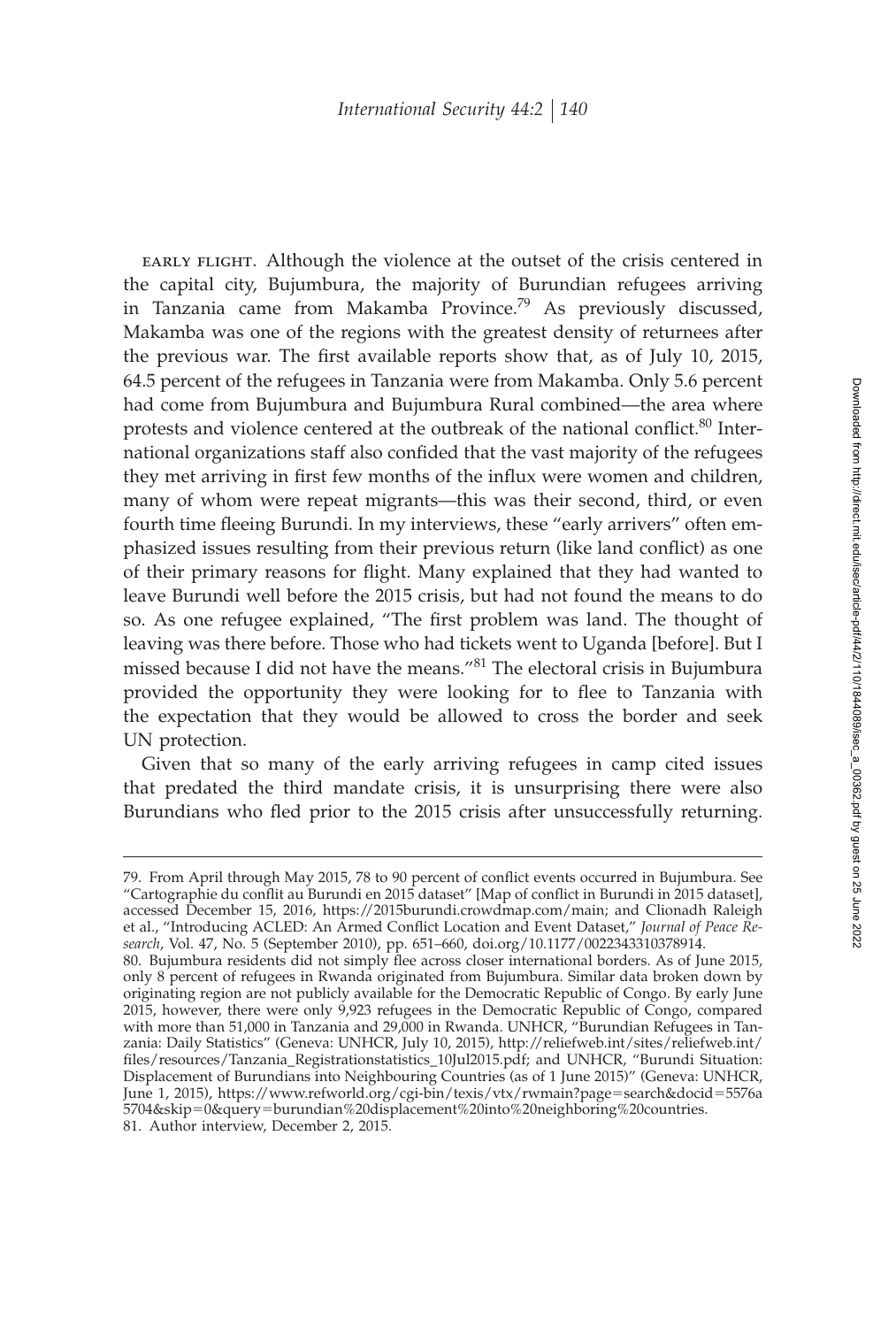EARLY FLIGHT. Although the violence at the outset of the crisis centered in the capital city, Bujumbura, the majority of Burundian refugees arriving in Tanzania came from Makamba Province.<sup>79</sup> As previously discussed, Makamba was one of the regions with the greatest density of returnees after the previous war. The first available reports show that, as of July 10, 2015, 64.5 percent of the refugees in Tanzania were from Makamba. Only 5.6 percent had come from Bujumbura and Bujumbura Rural combined—the area where protests and violence centered at the outbreak of the national conflict.<sup>80</sup> International organizations staff also confided that the vast majority of the refugees they met arriving in first few months of the influx were women and children, many of whom were repeat migrants—this was their second, third, or even fourth time fleeing Burundi. In my interviews, these "early arrivers" often emphasized issues resulting from their previous return (like land conflict) as one of their primary reasons for flight. Many explained that they had wanted to leave Burundi well before the 2015 crisis, but had not found the means to do so. As one refugee explained, "The first problem was land. The thought of leaving was there before. Those who had tickets went to Uganda [before]. But I missed because I did not have the means."<sup>81</sup> The electoral crisis in Bujumbura provided the opportunity they were looking for to flee to Tanzania with the expectation that they would be allowed to cross the border and seek UN protection.

Given that so many of the early arriving refugees in camp cited issues that predated the third mandate crisis, it is unsurprising there were also Burundians who fled prior to the 2015 crisis after unsuccessfully returning.

<sup>79.</sup> From April through May 2015, 78 to 90 percent of conflict events occurred in Bujumbura. See "Cartographie du conflit au Burundi en 2015 dataset" [Map of conflict in Burundi in 2015 dataset], accessed December 15, 2016, https://2015burundi.crowdmap.com/main; and Clionadh Raleigh et al., "Introducing ACLED: An Armed Conflict Location and Event Dataset," *Journal of Peace Research*, Vol. 47, No. 5 (September 2010), pp. 651–660, doi.org/10.1177/0022343310378914.

<sup>80.</sup> Bujumbura residents did not simply flee across closer international borders. As of June 2015, only 8 percent of refugees in Rwanda originated from Bujumbura. Similar data broken down by originating region are not publicly available for the Democratic Republic of Congo. By early June 2015, however, there were only 9,923 refugees in the Democratic Republic of Congo, compared with more than 51,000 in Tanzania and 29,000 in Rwanda. UNHCR, "Burundian Refugees in Tanzania: Daily Statistics" (Geneva: UNHCR, July 10, 2015), http://reliefweb.int/sites/reliefweb.int/ files/resources/Tanzania\_Registrationstatistics\_10Jul2015.pdf; and UNHCR, "Burundi Situation: Displacement of Burundians into Neighbouring Countries (as of 1 June 2015)" (Geneva: UNHCR, June 1, 2015), https://www.refworld.org/cgi-bin/texis/vtx/rwmain?page-search&docid-5576a 5704&skip-0&query-burundian%20displacement%20into%20neighboring%20countries. 81. Author interview, December 2, 2015.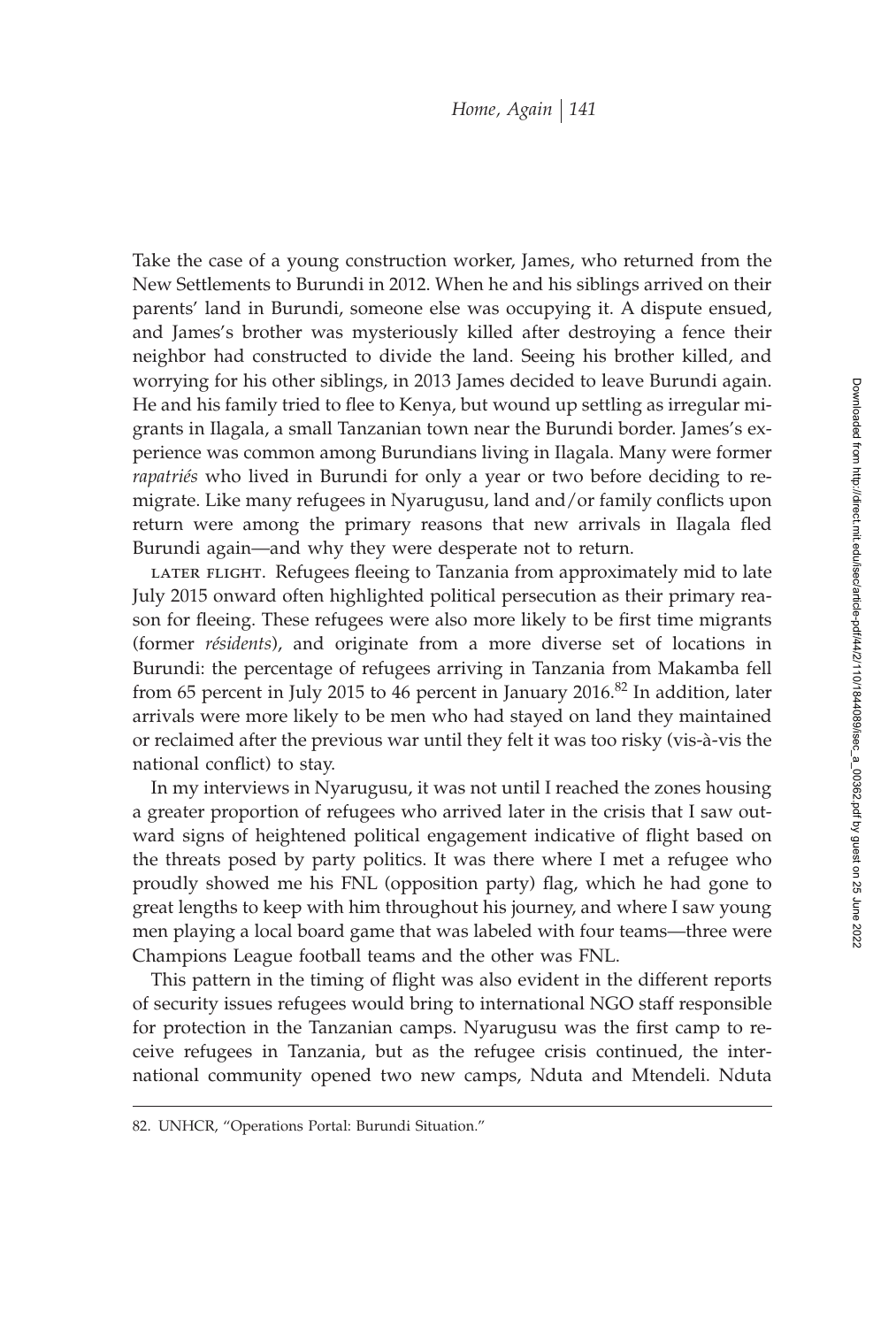Take the case of a young construction worker, James, who returned from the New Settlements to Burundi in 2012. When he and his siblings arrived on their parents' land in Burundi, someone else was occupying it. A dispute ensued, and James's brother was mysteriously killed after destroying a fence their neighbor had constructed to divide the land. Seeing his brother killed, and worrying for his other siblings, in 2013 James decided to leave Burundi again. He and his family tried to flee to Kenya, but wound up settling as irregular migrants in Ilagala, a small Tanzanian town near the Burundi border. James's experience was common among Burundians living in Ilagala. Many were former *rapatriés* who lived in Burundi for only a year or two before deciding to remigrate. Like many refugees in Nyarugusu, land and/or family conflicts upon return were among the primary reasons that new arrivals in Ilagala fled Burundi again—and why they were desperate not to return.

LATER FLIGHT. Refugees fleeing to Tanzania from approximately mid to late July 2015 onward often highlighted political persecution as their primary reason for fleeing. These refugees were also more likely to be first time migrants (former *résidents*), and originate from a more diverse set of locations in Burundi: the percentage of refugees arriving in Tanzania from Makamba fell from 65 percent in July 2015 to 46 percent in January 2016.<sup>82</sup> In addition, later arrivals were more likely to be men who had stayed on land they maintained or reclaimed after the previous war until they felt it was too risky (vis-à-vis the national conflict) to stay.

In my interviews in Nyarugusu, it was not until I reached the zones housing a greater proportion of refugees who arrived later in the crisis that I saw outward signs of heightened political engagement indicative of flight based on the threats posed by party politics. It was there where I met a refugee who proudly showed me his FNL (opposition party) flag, which he had gone to great lengths to keep with him throughout his journey, and where I saw young men playing a local board game that was labeled with four teams—three were Champions League football teams and the other was FNL.

This pattern in the timing of flight was also evident in the different reports of security issues refugees would bring to international NGO staff responsible for protection in the Tanzanian camps. Nyarugusu was the first camp to receive refugees in Tanzania, but as the refugee crisis continued, the international community opened two new camps, Nduta and Mtendeli. Nduta

82. UNHCR, "Operations Portal: Burundi Situation."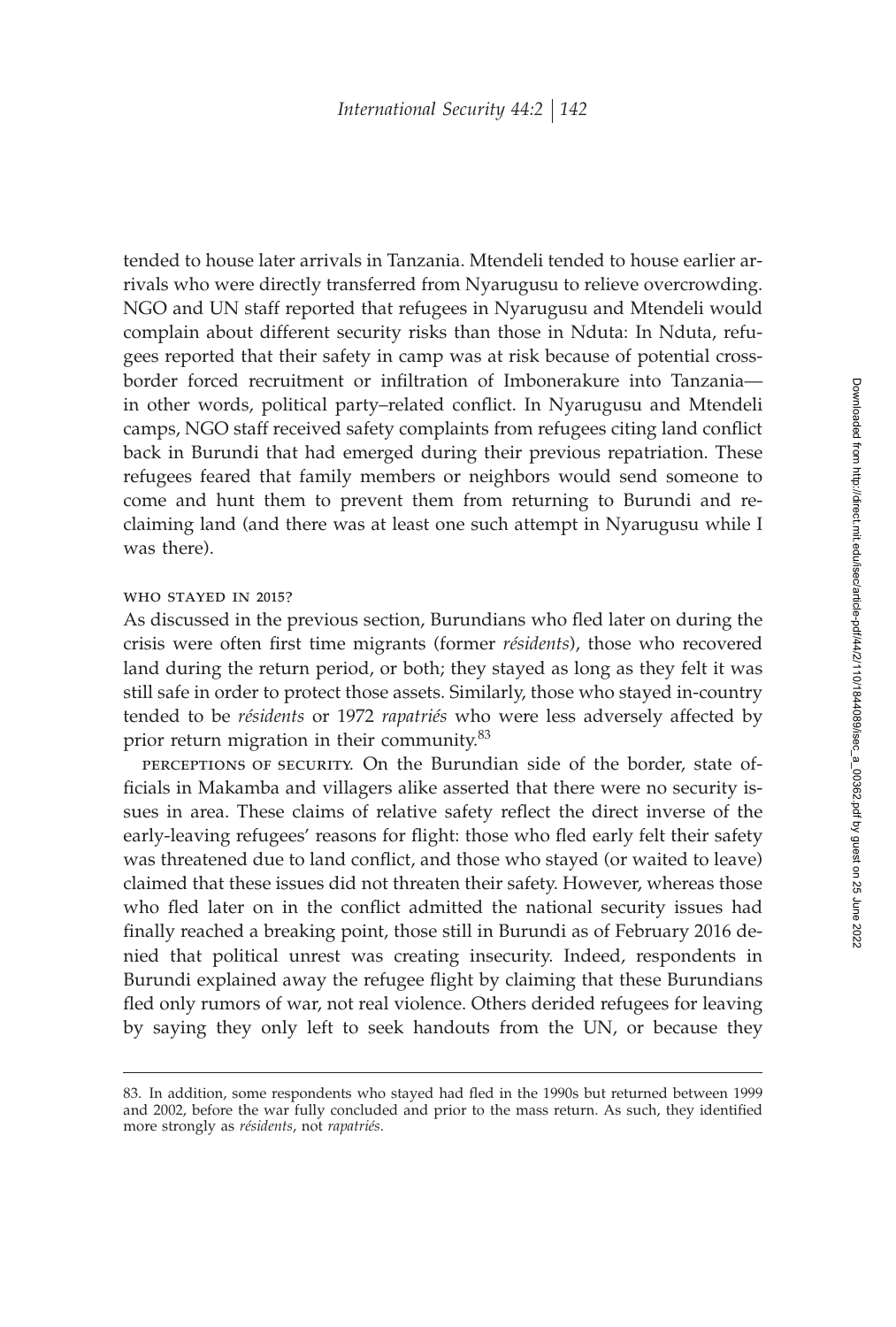tended to house later arrivals in Tanzania. Mtendeli tended to house earlier arrivals who were directly transferred from Nyarugusu to relieve overcrowding. NGO and UN staff reported that refugees in Nyarugusu and Mtendeli would complain about different security risks than those in Nduta: In Nduta, refugees reported that their safety in camp was at risk because of potential crossborder forced recruitment or infiltration of Imbonerakure into Tanzaniain other words, political party-related conflict. In Nyarugusu and Mtendeli camps, NGO staff received safety complaints from refugees citing land conflict back in Burundi that had emerged during their previous repatriation. These refugees feared that family members or neighbors would send someone to come and hunt them to prevent them from returning to Burundi and reclaiming land (and there was at least one such attempt in Nyarugusu while I was there).

### who stayed in 2015?

As discussed in the previous section, Burundians who fled later on during the crisis were often first time migrants (former *résidents*), those who recovered land during the return period, or both; they stayed as long as they felt it was still safe in order to protect those assets. Similarly, those who stayed in-country tended to be *résidents* or 1972 *rapatriés* who were less adversely affected by prior return migration in their community.<sup>83</sup>

perceptions of security. On the Burundian side of the border, state officials in Makamba and villagers alike asserted that there were no security issues in area. These claims of relative safety reflect the direct inverse of the early-leaving refugees' reasons for flight: those who fled early felt their safety was threatened due to land conflict, and those who stayed (or waited to leave) claimed that these issues did not threaten their safety. However, whereas those who fled later on in the conflict admitted the national security issues had finally reached a breaking point, those still in Burundi as of February 2016 denied that political unrest was creating insecurity. Indeed, respondents in Burundi explained away the refugee flight by claiming that these Burundians fled only rumors of war, not real violence. Others derided refugees for leaving by saying they only left to seek handouts from the UN, or because they

<sup>83.</sup> In addition, some respondents who stayed had fled in the 1990s but returned between 1999 and 2002, before the war fully concluded and prior to the mass return. As such, they identified more strongly as *résidents*, not *rapatriés*.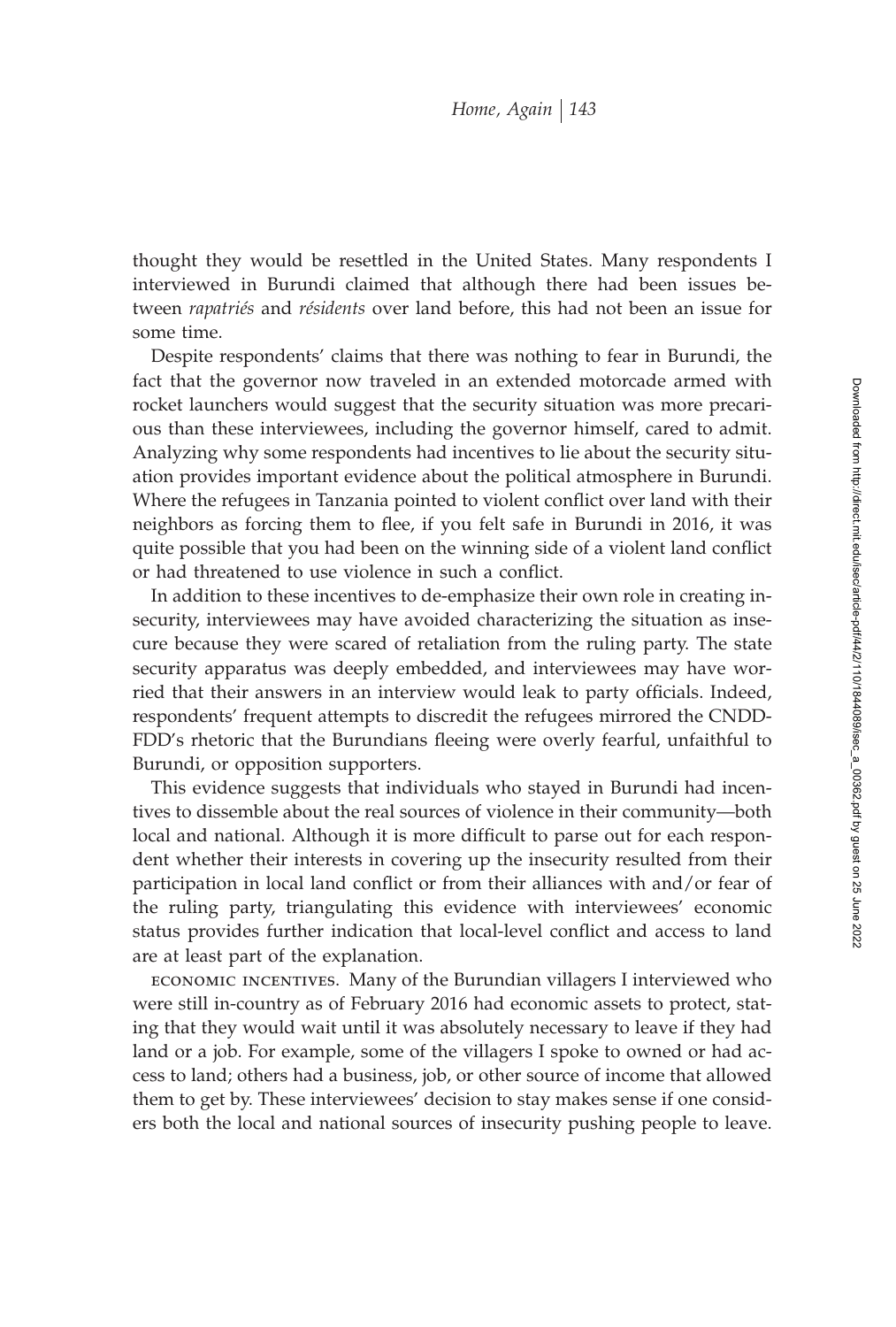thought they would be resettled in the United States. Many respondents I interviewed in Burundi claimed that although there had been issues between *rapatriés* and *résidents* over land before, this had not been an issue for some time.

Despite respondents' claims that there was nothing to fear in Burundi, the fact that the governor now traveled in an extended motorcade armed with rocket launchers would suggest that the security situation was more precarious than these interviewees, including the governor himself, cared to admit. Analyzing why some respondents had incentives to lie about the security situation provides important evidence about the political atmosphere in Burundi. Where the refugees in Tanzania pointed to violent conflict over land with their neighbors as forcing them to flee, if you felt safe in Burundi in 2016, it was quite possible that you had been on the winning side of a violent land conflict or had threatened to use violence in such a conflict.

In addition to these incentives to de-emphasize their own role in creating insecurity, interviewees may have avoided characterizing the situation as insecure because they were scared of retaliation from the ruling party. The state security apparatus was deeply embedded, and interviewees may have worried that their answers in an interview would leak to party officials. Indeed, respondents' frequent attempts to discredit the refugees mirrored the CNDD-FDD's rhetoric that the Burundians fleeing were overly fearful, unfaithful to Burundi, or opposition supporters.

This evidence suggests that individuals who stayed in Burundi had incentives to dissemble about the real sources of violence in their community—both local and national. Although it is more difficult to parse out for each respondent whether their interests in covering up the insecurity resulted from their participation in local land conflict or from their alliances with and/or fear of the ruling party, triangulating this evidence with interviewees' economic status provides further indication that local-level conflict and access to land are at least part of the explanation.

economic incentives. Many of the Burundian villagers I interviewed who were still in-country as of February 2016 had economic assets to protect, stating that they would wait until it was absolutely necessary to leave if they had land or a job. For example, some of the villagers I spoke to owned or had access to land; others had a business, job, or other source of income that allowed them to get by. These interviewees' decision to stay makes sense if one considers both the local and national sources of insecurity pushing people to leave.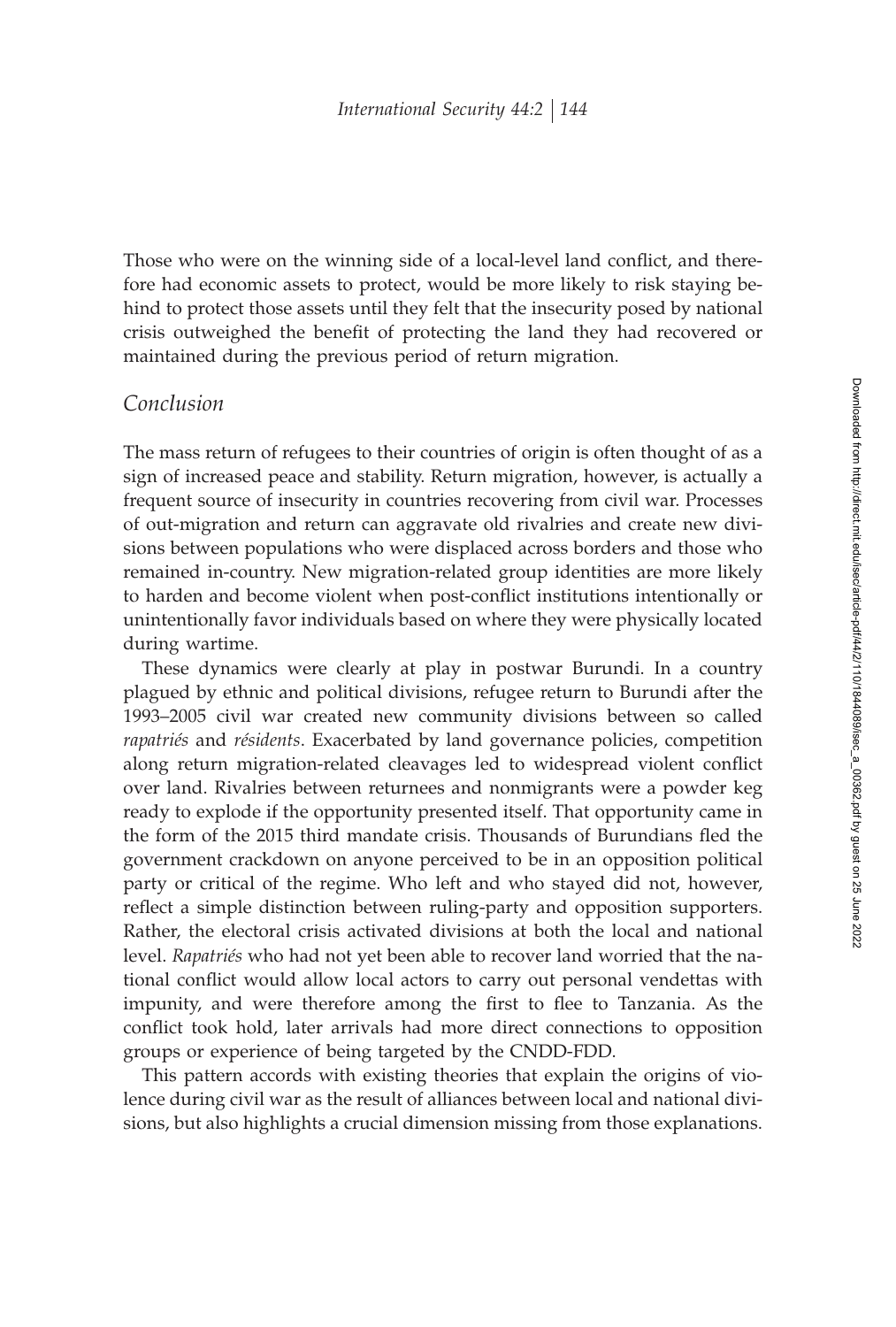Those who were on the winning side of a local-level land conflict, and therefore had economic assets to protect, would be more likely to risk staying behind to protect those assets until they felt that the insecurity posed by national crisis outweighed the benefit of protecting the land they had recovered or maintained during the previous period of return migration.

# *Conclusion*

The mass return of refugees to their countries of origin is often thought of as a sign of increased peace and stability. Return migration, however, is actually a frequent source of insecurity in countries recovering from civil war. Processes of out-migration and return can aggravate old rivalries and create new divisions between populations who were displaced across borders and those who remained in-country. New migration-related group identities are more likely to harden and become violent when post-conflict institutions intentionally or unintentionally favor individuals based on where they were physically located during wartime.

These dynamics were clearly at play in postwar Burundi. In a country plagued by ethnic and political divisions, refugee return to Burundi after the 1993–2005 civil war created new community divisions between so called *rapatriés* and *résidents*. Exacerbated by land governance policies, competition along return migration-related cleavages led to widespread violent conflict over land. Rivalries between returnees and nonmigrants were a powder keg ready to explode if the opportunity presented itself. That opportunity came in the form of the 2015 third mandate crisis. Thousands of Burundians fled the government crackdown on anyone perceived to be in an opposition political party or critical of the regime. Who left and who stayed did not, however, reflect a simple distinction between ruling-party and opposition supporters. Rather, the electoral crisis activated divisions at both the local and national level. *Rapatriés* who had not yet been able to recover land worried that the national conflict would allow local actors to carry out personal vendettas with impunity, and were therefore among the first to flee to Tanzania. As the conflict took hold, later arrivals had more direct connections to opposition groups or experience of being targeted by the CNDD-FDD.

This pattern accords with existing theories that explain the origins of violence during civil war as the result of alliances between local and national divisions, but also highlights a crucial dimension missing from those explanations.